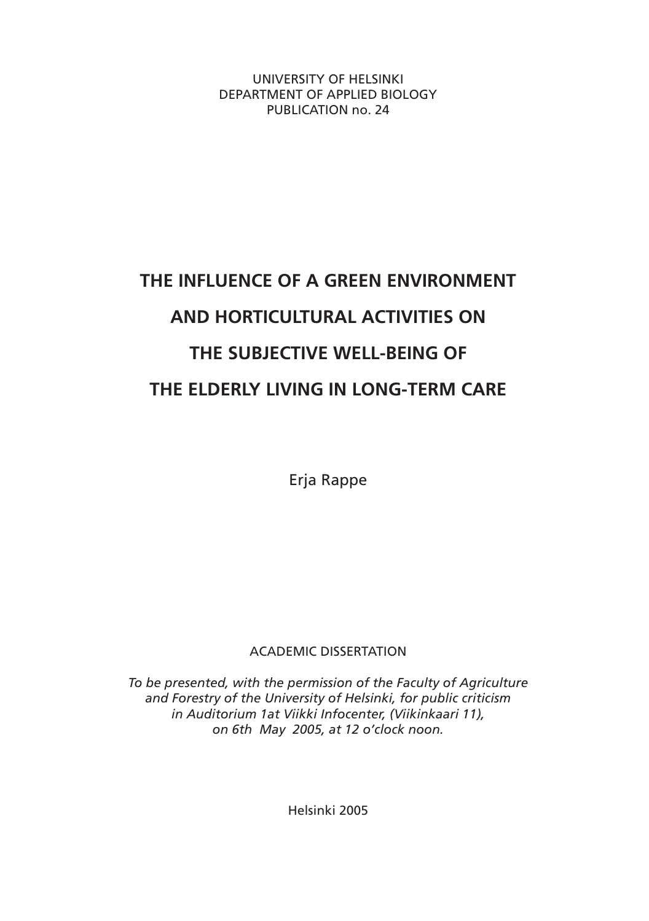UNIVERSITY OF HELSINKI DEPARTMENT OF APPLIED BIOLOGY PUBLICATION no. 24

## **THE INFLUENCE OF A GREEN ENVIRONMENT AND HORTICULTURAL ACTIVITIES ON THE SUBJECTIVE WELL-BEING OF THE ELDERLY LIVING IN LONG-TERM CARE**

Erja Rappe

ACADEMIC DISSERTATION

*To be presented, with the permission of the Faculty of Agriculture and Forestry of the University of Helsinki, for public criticism in Auditorium 1at Viikki Infocenter, (Viikinkaari 11), on 6th May 2005, at 12 o'clock noon.*

Helsinki 2005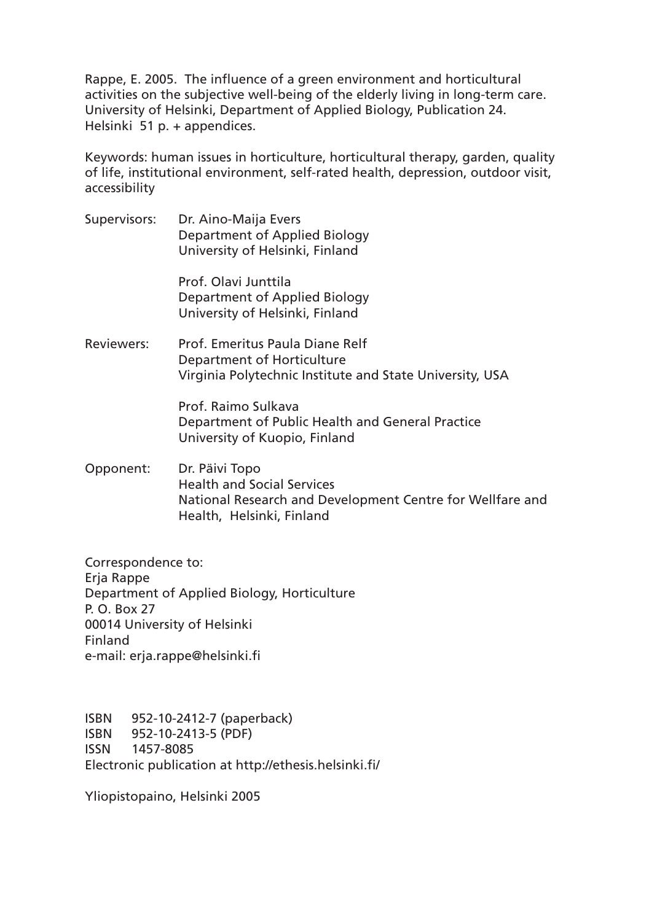Rappe, E. 2005. The influence of a green environment and horticultural activities on the subjective well-being of the elderly living in long-term care. University of Helsinki, Department of Applied Biology, Publication 24. Helsinki 51 p. + appendices.

Keywords: human issues in horticulture, horticultural therapy, garden, quality of life, institutional environment, self-rated health, depression, outdoor visit, accessibility

Supervisors: Dr. Aino-Maija Evers Department of Applied Biology University of Helsinki, Finland

> Prof. Olavi Junttila Department of Applied Biology University of Helsinki, Finland

Reviewers: Prof. Emeritus Paula Diane Relf Department of Horticulture Virginia Polytechnic Institute and State University, USA

> Prof. Raimo Sulkava Department of Public Health and General Practice University of Kuopio, Finland

Opponent: Dr. Päivi Topo Health and Social Services National Research and Development Centre for Wellfare and Health, Helsinki, Finland

Correspondence to: Erja Rappe Department of Applied Biology, Horticulture P. O. Box 27 00014 University of Helsinki Finland e-mail: erja.rappe@helsinki.fi

ISBN 952-10-2412-7 (paperback) ISBN 952-10-2413-5 (PDF) ISSN 1457-8085 Electronic publication at http://ethesis.helsinki.fi/

Yliopistopaino, Helsinki 2005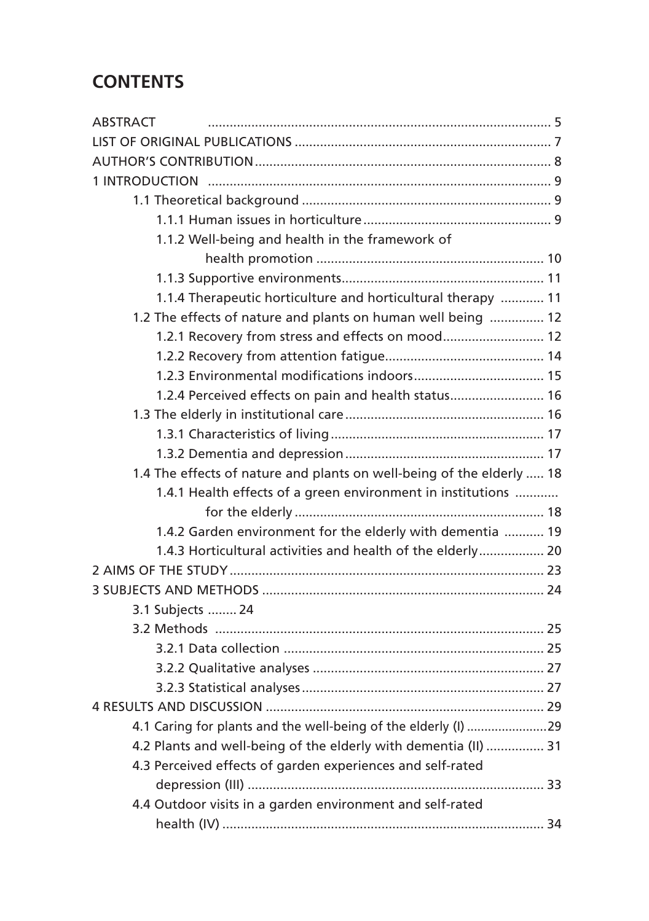## **CONTENTS**

| <b>ABSTRACT</b>                                                       |
|-----------------------------------------------------------------------|
|                                                                       |
|                                                                       |
|                                                                       |
|                                                                       |
|                                                                       |
| 1.1.2 Well-being and health in the framework of                       |
|                                                                       |
|                                                                       |
| 1.1.4 Therapeutic horticulture and horticultural therapy  11          |
| 1.2 The effects of nature and plants on human well being  12          |
| 1.2.1 Recovery from stress and effects on mood 12                     |
|                                                                       |
|                                                                       |
| 1.2.4 Perceived effects on pain and health status 16                  |
|                                                                       |
|                                                                       |
|                                                                       |
| 1.4 The effects of nature and plants on well-being of the elderly  18 |
| 1.4.1 Health effects of a green environment in institutions           |
|                                                                       |
| 1.4.2 Garden environment for the elderly with dementia  19            |
| 1.4.3 Horticultural activities and health of the elderly 20           |
|                                                                       |
|                                                                       |
| 3.1 Subjects  24                                                      |
|                                                                       |
|                                                                       |
|                                                                       |
|                                                                       |
|                                                                       |
| 4.1 Caring for plants and the well-being of the elderly (I) 29        |
| 4.2 Plants and well-being of the elderly with dementia (II)  31       |
| 4.3 Perceived effects of garden experiences and self-rated            |
|                                                                       |
| 4.4 Outdoor visits in a garden environment and self-rated             |
|                                                                       |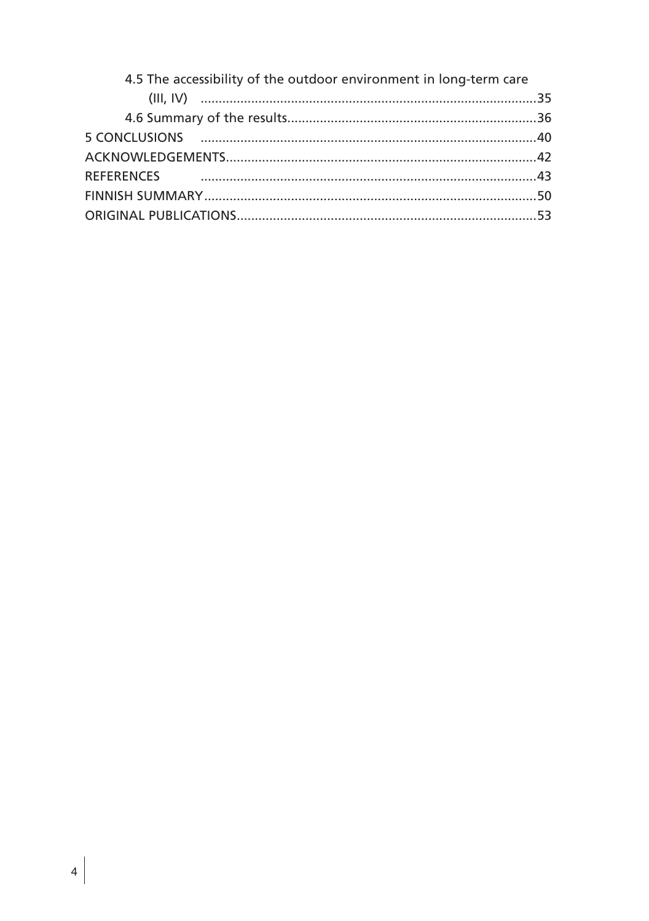| 4.5 The accessibility of the outdoor environment in long-term care |  |
|--------------------------------------------------------------------|--|
|                                                                    |  |
|                                                                    |  |
|                                                                    |  |
|                                                                    |  |
|                                                                    |  |
|                                                                    |  |
|                                                                    |  |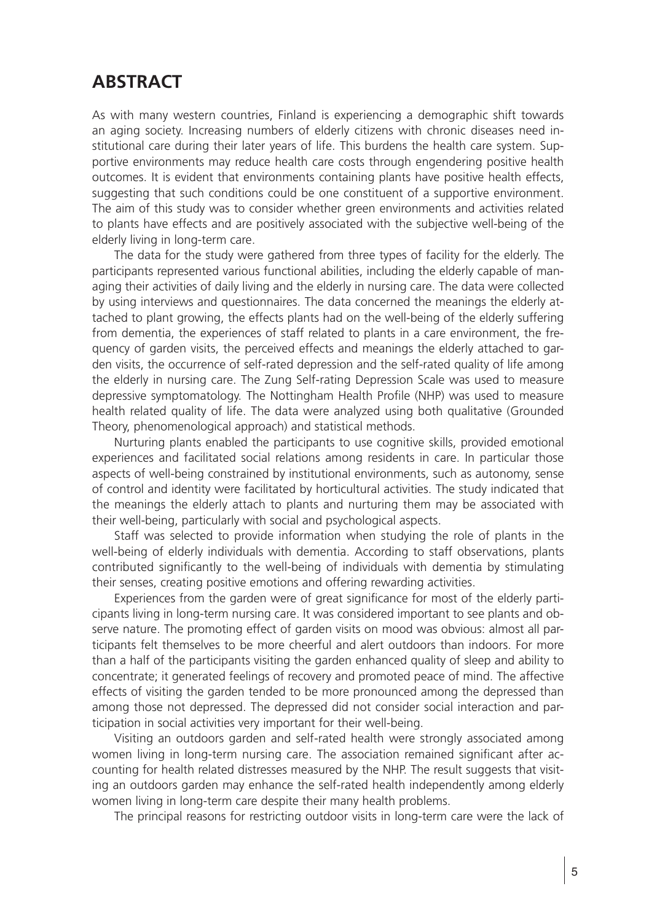## **ABSTRACT**

As with many western countries, Finland is experiencing a demographic shift towards an aging society. Increasing numbers of elderly citizens with chronic diseases need institutional care during their later years of life. This burdens the health care system. Supportive environments may reduce health care costs through engendering positive health outcomes. It is evident that environments containing plants have positive health effects, suggesting that such conditions could be one constituent of a supportive environment. The aim of this study was to consider whether green environments and activities related to plants have effects and are positively associated with the subjective well-being of the elderly living in long-term care.

The data for the study were gathered from three types of facility for the elderly. The participants represented various functional abilities, including the elderly capable of managing their activities of daily living and the elderly in nursing care. The data were collected by using interviews and questionnaires. The data concerned the meanings the elderly attached to plant growing, the effects plants had on the well-being of the elderly suffering from dementia, the experiences of staff related to plants in a care environment, the frequency of garden visits, the perceived effects and meanings the elderly attached to garden visits, the occurrence of self-rated depression and the self-rated quality of life among the elderly in nursing care. The Zung Self-rating Depression Scale was used to measure depressive symptomatology. The Nottingham Health Profile (NHP) was used to measure health related quality of life. The data were analyzed using both qualitative (Grounded Theory, phenomenological approach) and statistical methods.

Nurturing plants enabled the participants to use cognitive skills, provided emotional experiences and facilitated social relations among residents in care. In particular those aspects of well-being constrained by institutional environments, such as autonomy, sense of control and identity were facilitated by horticultural activities. The study indicated that the meanings the elderly attach to plants and nurturing them may be associated with their well-being, particularly with social and psychological aspects.

Staff was selected to provide information when studying the role of plants in the well-being of elderly individuals with dementia. According to staff observations, plants contributed significantly to the well-being of individuals with dementia by stimulating their senses, creating positive emotions and offering rewarding activities.

Experiences from the garden were of great significance for most of the elderly participants living in long-term nursing care. It was considered important to see plants and observe nature. The promoting effect of garden visits on mood was obvious: almost all participants felt themselves to be more cheerful and alert outdoors than indoors. For more than a half of the participants visiting the garden enhanced quality of sleep and ability to concentrate; it generated feelings of recovery and promoted peace of mind. The affective effects of visiting the garden tended to be more pronounced among the depressed than among those not depressed. The depressed did not consider social interaction and participation in social activities very important for their well-being.

Visiting an outdoors garden and self-rated health were strongly associated among women living in long-term nursing care. The association remained significant after accounting for health related distresses measured by the NHP. The result suggests that visiting an outdoors garden may enhance the self-rated health independently among elderly women living in long-term care despite their many health problems.

The principal reasons for restricting outdoor visits in long-term care were the lack of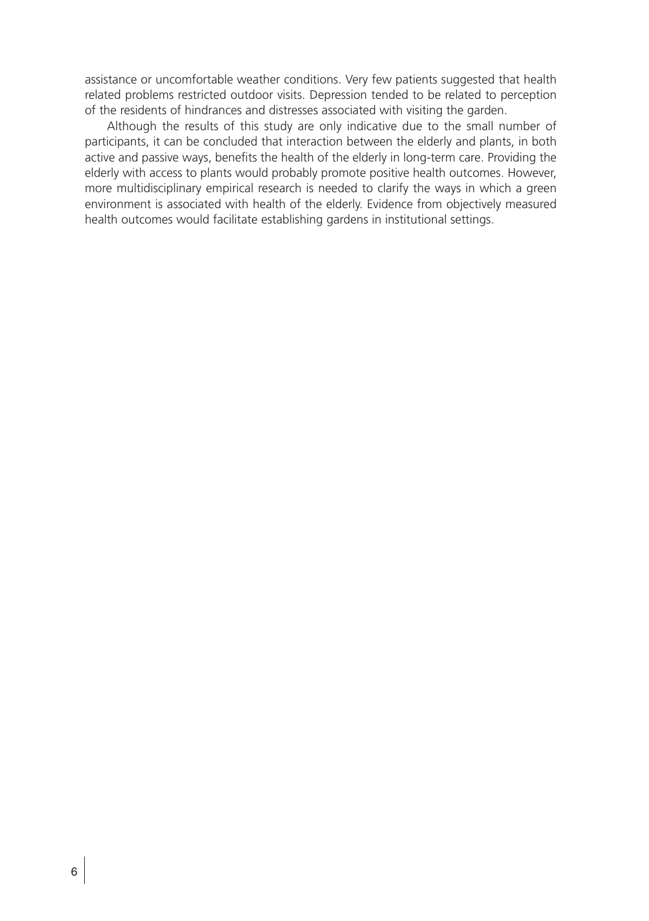assistance or uncomfortable weather conditions. Very few patients suggested that health related problems restricted outdoor visits. Depression tended to be related to perception of the residents of hindrances and distresses associated with visiting the garden.

Although the results of this study are only indicative due to the small number of participants, it can be concluded that interaction between the elderly and plants, in both active and passive ways, benefits the health of the elderly in long-term care. Providing the elderly with access to plants would probably promote positive health outcomes. However, more multidisciplinary empirical research is needed to clarify the ways in which a green environment is associated with health of the elderly. Evidence from objectively measured health outcomes would facilitate establishing gardens in institutional settings.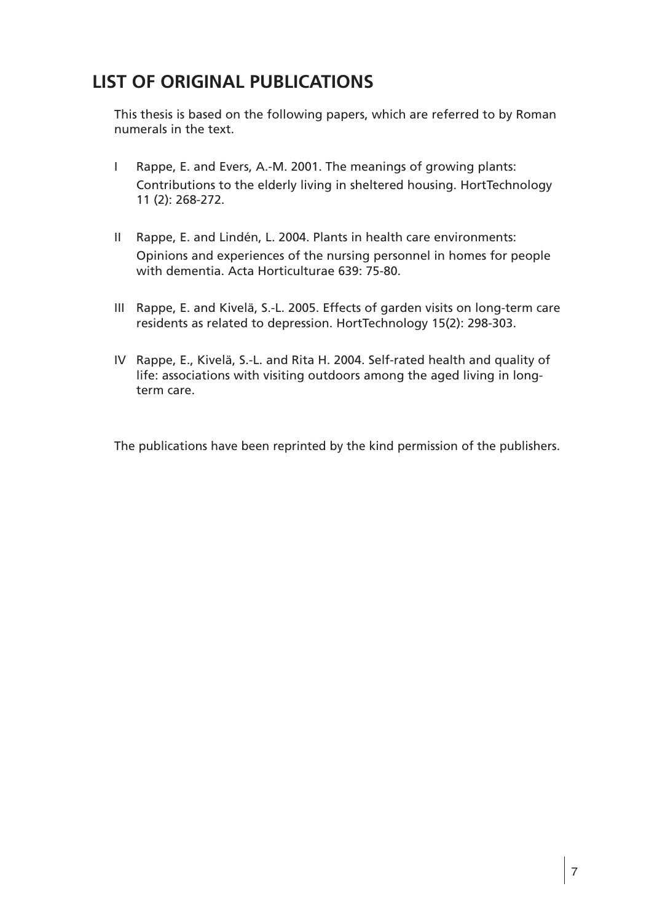## **LIST OF ORIGINAL PUBLICATIONS**

This thesis is based on the following papers, which are referred to by Roman numerals in the text.

- I Rappe, E. and Evers, A.-M. 2001. The meanings of growing plants: Contributions to the elderly living in sheltered housing. HortTechnology 11 (2): 268-272.
- II Rappe, E. and Lindén, L. 2004. Plants in health care environments: Opinions and experiences of the nursing personnel in homes for people with dementia. Acta Horticulturae 639: 75-80.
- III Rappe, E. and Kivelä, S.-L. 2005. Effects of garden visits on long-term care residents as related to depression. HortTechnology 15(2): 298-303.
- IV Rappe, E., Kivelä, S.-L. and Rita H. 2004. Self-rated health and quality of life: associations with visiting outdoors among the aged living in longterm care.

The publications have been reprinted by the kind permission of the publishers.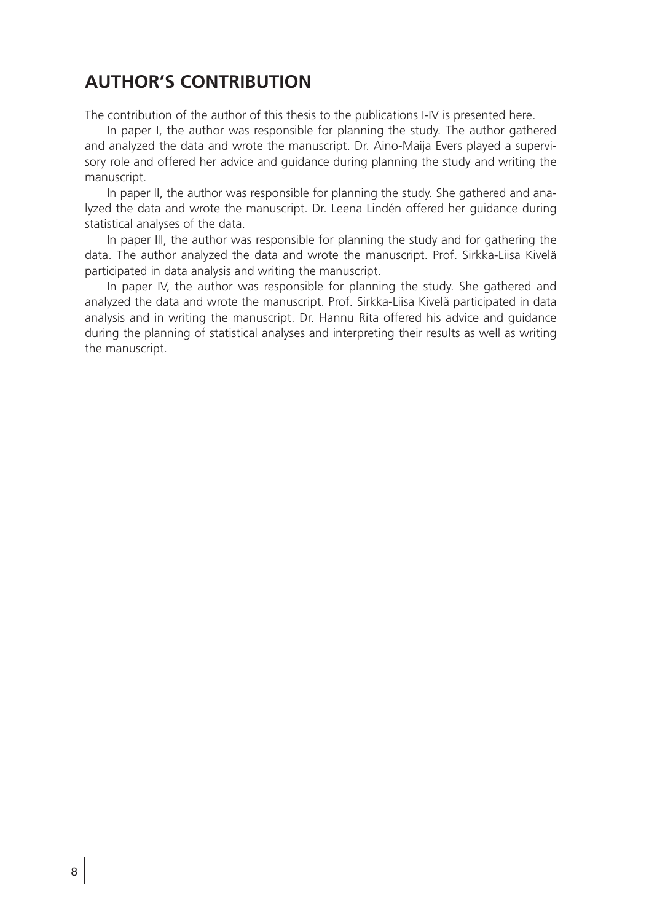## **AUTHOR'S CONTRIBUTION**

The contribution of the author of this thesis to the publications I-IV is presented here.

In paper I, the author was responsible for planning the study. The author gathered and analyzed the data and wrote the manuscript. Dr. Aino-Maija Evers played a supervisory role and offered her advice and guidance during planning the study and writing the manuscript.

In paper II, the author was responsible for planning the study. She gathered and analyzed the data and wrote the manuscript. Dr. Leena Lindén offered her guidance during statistical analyses of the data.

In paper III, the author was responsible for planning the study and for gathering the data. The author analyzed the data and wrote the manuscript. Prof. Sirkka-Liisa Kivelä participated in data analysis and writing the manuscript.

In paper IV, the author was responsible for planning the study. She gathered and analyzed the data and wrote the manuscript. Prof. Sirkka-Liisa Kivelä participated in data analysis and in writing the manuscript. Dr. Hannu Rita offered his advice and guidance during the planning of statistical analyses and interpreting their results as well as writing the manuscript.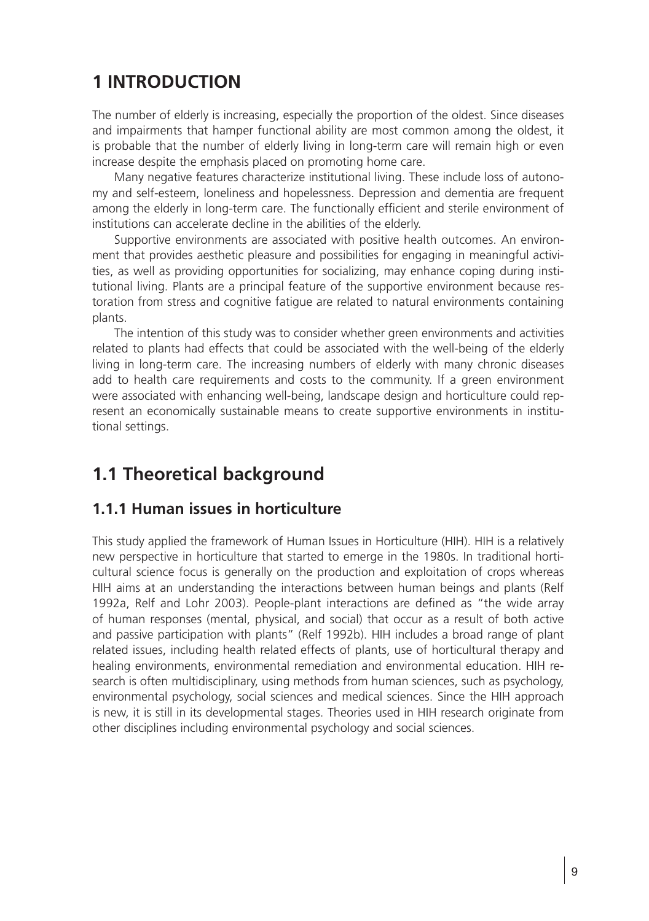## **1 INTRODUCTION**

The number of elderly is increasing, especially the proportion of the oldest. Since diseases and impairments that hamper functional ability are most common among the oldest, it is probable that the number of elderly living in long-term care will remain high or even increase despite the emphasis placed on promoting home care.

Many negative features characterize institutional living. These include loss of autonomy and self-esteem, loneliness and hopelessness. Depression and dementia are frequent among the elderly in long-term care. The functionally efficient and sterile environment of institutions can accelerate decline in the abilities of the elderly.

Supportive environments are associated with positive health outcomes. An environment that provides aesthetic pleasure and possibilities for engaging in meaningful activities, as well as providing opportunities for socializing, may enhance coping during institutional living. Plants are a principal feature of the supportive environment because restoration from stress and cognitive fatigue are related to natural environments containing plants.

The intention of this study was to consider whether green environments and activities related to plants had effects that could be associated with the well-being of the elderly living in long-term care. The increasing numbers of elderly with many chronic diseases add to health care requirements and costs to the community. If a green environment were associated with enhancing well-being, landscape design and horticulture could represent an economically sustainable means to create supportive environments in institutional settings.

## **1.1 Theoretical background**

#### **1.1.1 Human issues in horticulture**

This study applied the framework of Human Issues in Horticulture (HIH). HIH is a relatively new perspective in horticulture that started to emerge in the 1980s. In traditional horticultural science focus is generally on the production and exploitation of crops whereas HIH aims at an understanding the interactions between human beings and plants (Relf 1992a, Relf and Lohr 2003). People-plant interactions are defined as "the wide array of human responses (mental, physical, and social) that occur as a result of both active and passive participation with plants" (Relf 1992b). HIH includes a broad range of plant related issues, including health related effects of plants, use of horticultural therapy and healing environments, environmental remediation and environmental education. HIH research is often multidisciplinary, using methods from human sciences, such as psychology, environmental psychology, social sciences and medical sciences. Since the HIH approach is new, it is still in its developmental stages. Theories used in HIH research originate from other disciplines including environmental psychology and social sciences.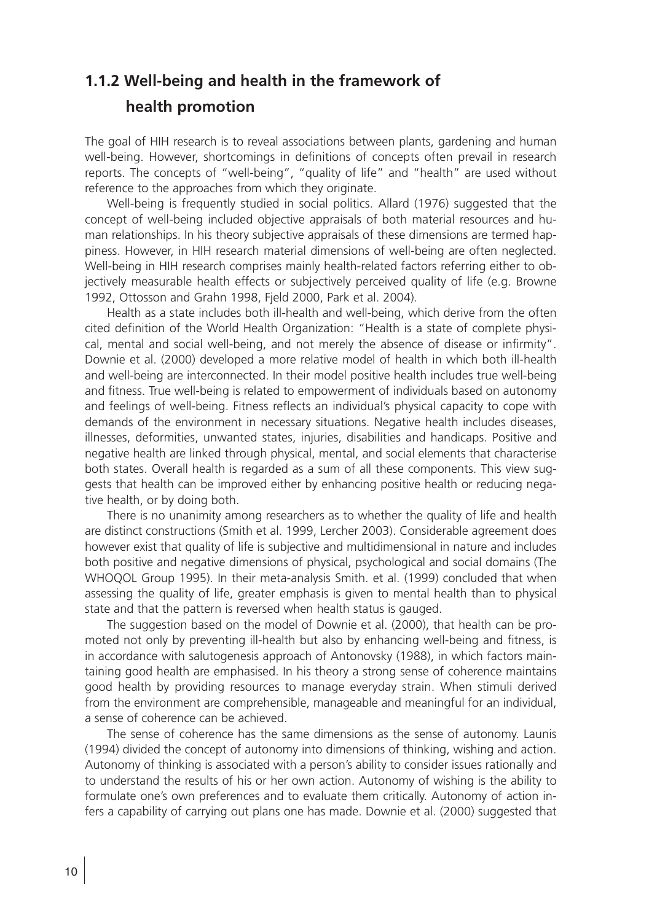## **1.1.2 Well-being and health in the framework of health promotion**

The goal of HIH research is to reveal associations between plants, gardening and human well-being. However, shortcomings in definitions of concepts often prevail in research reports. The concepts of "well-being", "quality of life" and "health" are used without reference to the approaches from which they originate.

Well-being is frequently studied in social politics. Allard (1976) suggested that the concept of well-being included objective appraisals of both material resources and human relationships. In his theory subjective appraisals of these dimensions are termed happiness. However, in HIH research material dimensions of well-being are often neglected. Well-being in HIH research comprises mainly health-related factors referring either to objectively measurable health effects or subjectively perceived quality of life (e.g. Browne 1992, Ottosson and Grahn 1998, Fjeld 2000, Park et al. 2004).

Health as a state includes both ill-health and well-being, which derive from the often cited definition of the World Health Organization: "Health is a state of complete physical, mental and social well-being, and not merely the absence of disease or infirmity". Downie et al. (2000) developed a more relative model of health in which both ill-health and well-being are interconnected. In their model positive health includes true well-being and fitness. True well-being is related to empowerment of individuals based on autonomy and feelings of well-being. Fitness reflects an individual's physical capacity to cope with demands of the environment in necessary situations. Negative health includes diseases, illnesses, deformities, unwanted states, injuries, disabilities and handicaps. Positive and negative health are linked through physical, mental, and social elements that characterise both states. Overall health is regarded as a sum of all these components. This view suggests that health can be improved either by enhancing positive health or reducing negative health, or by doing both.

There is no unanimity among researchers as to whether the quality of life and health are distinct constructions (Smith et al. 1999, Lercher 2003). Considerable agreement does however exist that quality of life is subjective and multidimensional in nature and includes both positive and negative dimensions of physical, psychological and social domains (The WHOQOL Group 1995). In their meta-analysis Smith. et al. (1999) concluded that when assessing the quality of life, greater emphasis is given to mental health than to physical state and that the pattern is reversed when health status is gauged.

The suggestion based on the model of Downie et al. (2000), that health can be promoted not only by preventing ill-health but also by enhancing well-being and fitness, is in accordance with salutogenesis approach of Antonovsky (1988), in which factors maintaining good health are emphasised. In his theory a strong sense of coherence maintains good health by providing resources to manage everyday strain. When stimuli derived from the environment are comprehensible, manageable and meaningful for an individual, a sense of coherence can be achieved.

The sense of coherence has the same dimensions as the sense of autonomy. Launis (1994) divided the concept of autonomy into dimensions of thinking, wishing and action. Autonomy of thinking is associated with a person's ability to consider issues rationally and to understand the results of his or her own action. Autonomy of wishing is the ability to formulate one's own preferences and to evaluate them critically. Autonomy of action infers a capability of carrying out plans one has made. Downie et al. (2000) suggested that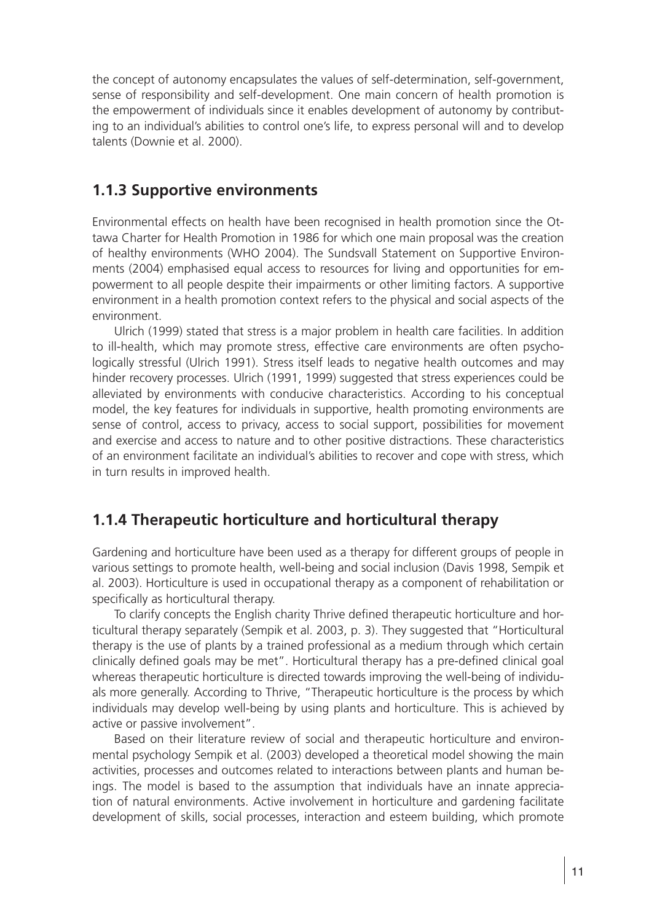the concept of autonomy encapsulates the values of self-determination, self-government, sense of responsibility and self-development. One main concern of health promotion is the empowerment of individuals since it enables development of autonomy by contributing to an individual's abilities to control one's life, to express personal will and to develop talents (Downie et al. 2000).

#### **1.1.3 Supportive environments**

Environmental effects on health have been recognised in health promotion since the Ottawa Charter for Health Promotion in 1986 for which one main proposal was the creation of healthy environments (WHO 2004). The Sundsvall Statement on Supportive Environments (2004) emphasised equal access to resources for living and opportunities for empowerment to all people despite their impairments or other limiting factors. A supportive environment in a health promotion context refers to the physical and social aspects of the environment.

Ulrich (1999) stated that stress is a major problem in health care facilities. In addition to ill-health, which may promote stress, effective care environments are often psychologically stressful (Ulrich 1991). Stress itself leads to negative health outcomes and may hinder recovery processes. Ulrich (1991, 1999) suggested that stress experiences could be alleviated by environments with conducive characteristics. According to his conceptual model, the key features for individuals in supportive, health promoting environments are sense of control, access to privacy, access to social support, possibilities for movement and exercise and access to nature and to other positive distractions. These characteristics of an environment facilitate an individual's abilities to recover and cope with stress, which in turn results in improved health.

#### **1.1.4 Therapeutic horticulture and horticultural therapy**

Gardening and horticulture have been used as a therapy for different groups of people in various settings to promote health, well-being and social inclusion (Davis 1998, Sempik et al. 2003). Horticulture is used in occupational therapy as a component of rehabilitation or specifically as horticultural therapy.

To clarify concepts the English charity Thrive defined therapeutic horticulture and horticultural therapy separately (Sempik et al. 2003, p. 3). They suggested that "Horticultural therapy is the use of plants by a trained professional as a medium through which certain clinically defined goals may be met". Horticultural therapy has a pre-defined clinical goal whereas therapeutic horticulture is directed towards improving the well-being of individuals more generally. According to Thrive, "Therapeutic horticulture is the process by which individuals may develop well-being by using plants and horticulture. This is achieved by active or passive involvement".

Based on their literature review of social and therapeutic horticulture and environmental psychology Sempik et al. (2003) developed a theoretical model showing the main activities, processes and outcomes related to interactions between plants and human beings. The model is based to the assumption that individuals have an innate appreciation of natural environments. Active involvement in horticulture and gardening facilitate development of skills, social processes, interaction and esteem building, which promote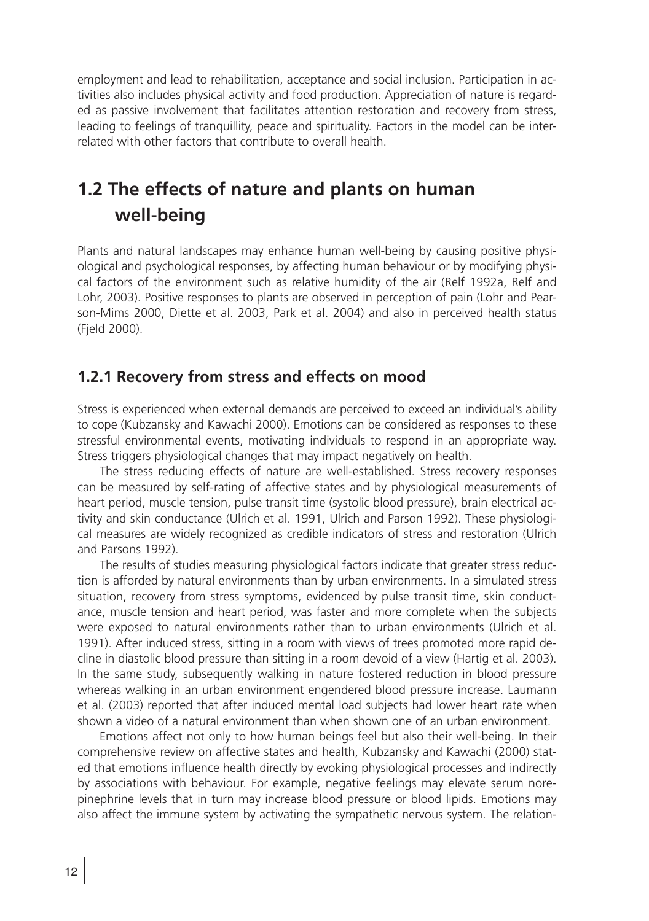employment and lead to rehabilitation, acceptance and social inclusion. Participation in activities also includes physical activity and food production. Appreciation of nature is regarded as passive involvement that facilitates attention restoration and recovery from stress, leading to feelings of tranquillity, peace and spirituality. Factors in the model can be interrelated with other factors that contribute to overall health.

## **1.2 The effects of nature and plants on human well-being**

Plants and natural landscapes may enhance human well-being by causing positive physiological and psychological responses, by affecting human behaviour or by modifying physical factors of the environment such as relative humidity of the air (Relf 1992a, Relf and Lohr, 2003). Positive responses to plants are observed in perception of pain (Lohr and Pearson-Mims 2000, Diette et al. 2003, Park et al. 2004) and also in perceived health status (Fjeld 2000).

#### **1.2.1 Recovery from stress and effects on mood**

Stress is experienced when external demands are perceived to exceed an individual's ability to cope (Kubzansky and Kawachi 2000). Emotions can be considered as responses to these stressful environmental events, motivating individuals to respond in an appropriate way. Stress triggers physiological changes that may impact negatively on health.

The stress reducing effects of nature are well-established. Stress recovery responses can be measured by self-rating of affective states and by physiological measurements of heart period, muscle tension, pulse transit time (systolic blood pressure), brain electrical activity and skin conductance (Ulrich et al. 1991, Ulrich and Parson 1992). These physiological measures are widely recognized as credible indicators of stress and restoration (Ulrich and Parsons 1992).

The results of studies measuring physiological factors indicate that greater stress reduction is afforded by natural environments than by urban environments. In a simulated stress situation, recovery from stress symptoms, evidenced by pulse transit time, skin conductance, muscle tension and heart period, was faster and more complete when the subjects were exposed to natural environments rather than to urban environments (Ulrich et al. 1991). After induced stress, sitting in a room with views of trees promoted more rapid decline in diastolic blood pressure than sitting in a room devoid of a view (Hartig et al. 2003). In the same study, subsequently walking in nature fostered reduction in blood pressure whereas walking in an urban environment engendered blood pressure increase. Laumann et al. (2003) reported that after induced mental load subjects had lower heart rate when shown a video of a natural environment than when shown one of an urban environment.

Emotions affect not only to how human beings feel but also their well-being. In their comprehensive review on affective states and health, Kubzansky and Kawachi (2000) stated that emotions influence health directly by evoking physiological processes and indirectly by associations with behaviour. For example, negative feelings may elevate serum norepinephrine levels that in turn may increase blood pressure or blood lipids. Emotions may also affect the immune system by activating the sympathetic nervous system. The relation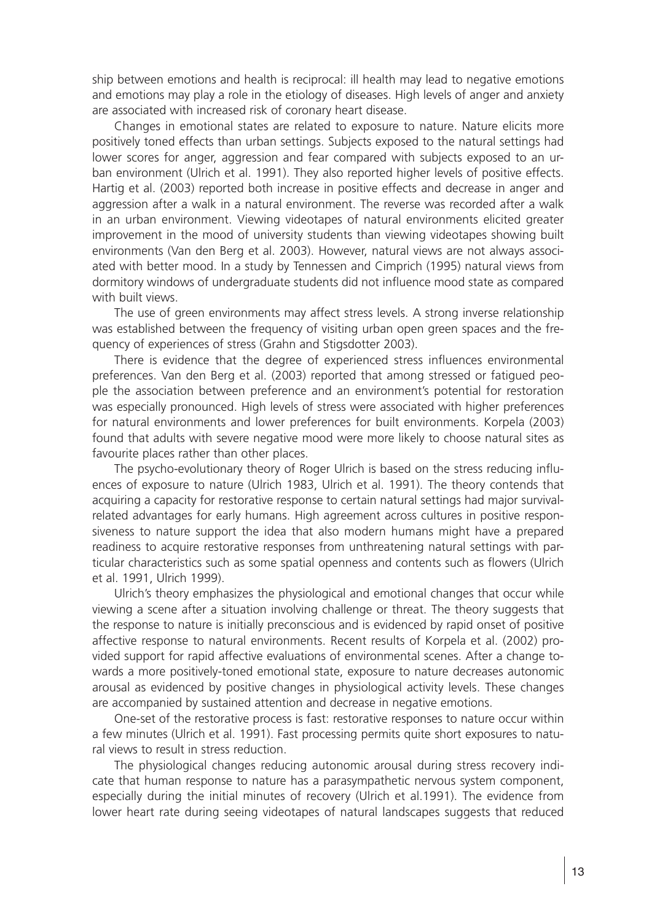ship between emotions and health is reciprocal: ill health may lead to negative emotions and emotions may play a role in the etiology of diseases. High levels of anger and anxiety are associated with increased risk of coronary heart disease.

Changes in emotional states are related to exposure to nature. Nature elicits more positively toned effects than urban settings. Subjects exposed to the natural settings had lower scores for anger, aggression and fear compared with subjects exposed to an urban environment (Ulrich et al. 1991). They also reported higher levels of positive effects. Hartig et al. (2003) reported both increase in positive effects and decrease in anger and aggression after a walk in a natural environment. The reverse was recorded after a walk in an urban environment. Viewing videotapes of natural environments elicited greater improvement in the mood of university students than viewing videotapes showing built environments (Van den Berg et al. 2003). However, natural views are not always associated with better mood. In a study by Tennessen and Cimprich (1995) natural views from dormitory windows of undergraduate students did not influence mood state as compared with built views

The use of green environments may affect stress levels. A strong inverse relationship was established between the frequency of visiting urban open green spaces and the frequency of experiences of stress (Grahn and Stigsdotter 2003).

There is evidence that the degree of experienced stress influences environmental preferences. Van den Berg et al. (2003) reported that among stressed or fatigued people the association between preference and an environment's potential for restoration was especially pronounced. High levels of stress were associated with higher preferences for natural environments and lower preferences for built environments. Korpela (2003) found that adults with severe negative mood were more likely to choose natural sites as favourite places rather than other places.

The psycho-evolutionary theory of Roger Ulrich is based on the stress reducing influences of exposure to nature (Ulrich 1983, Ulrich et al. 1991). The theory contends that acquiring a capacity for restorative response to certain natural settings had major survivalrelated advantages for early humans. High agreement across cultures in positive responsiveness to nature support the idea that also modern humans might have a prepared readiness to acquire restorative responses from unthreatening natural settings with particular characteristics such as some spatial openness and contents such as flowers (Ulrich et al. 1991, Ulrich 1999).

Ulrich's theory emphasizes the physiological and emotional changes that occur while viewing a scene after a situation involving challenge or threat. The theory suggests that the response to nature is initially preconscious and is evidenced by rapid onset of positive affective response to natural environments. Recent results of Korpela et al. (2002) provided support for rapid affective evaluations of environmental scenes. After a change towards a more positively-toned emotional state, exposure to nature decreases autonomic arousal as evidenced by positive changes in physiological activity levels. These changes are accompanied by sustained attention and decrease in negative emotions.

One-set of the restorative process is fast: restorative responses to nature occur within a few minutes (Ulrich et al. 1991). Fast processing permits quite short exposures to natural views to result in stress reduction.

The physiological changes reducing autonomic arousal during stress recovery indicate that human response to nature has a parasympathetic nervous system component, especially during the initial minutes of recovery (Ulrich et al.1991). The evidence from lower heart rate during seeing videotapes of natural landscapes suggests that reduced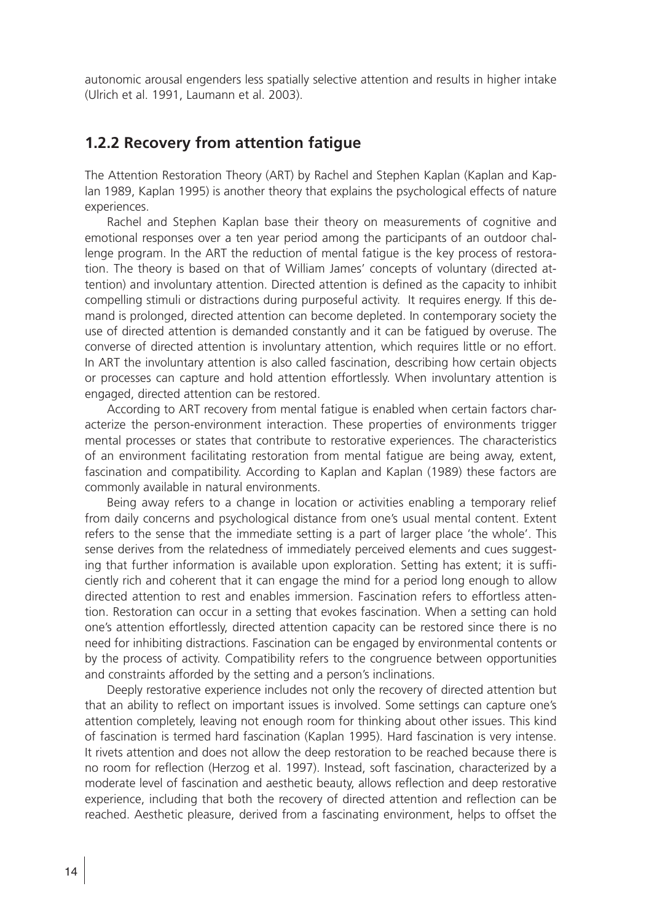autonomic arousal engenders less spatially selective attention and results in higher intake (Ulrich et al. 1991, Laumann et al. 2003).

#### **1.2.2 Recovery from attention fatigue**

The Attention Restoration Theory (ART) by Rachel and Stephen Kaplan (Kaplan and Kaplan 1989, Kaplan 1995) is another theory that explains the psychological effects of nature experiences.

Rachel and Stephen Kaplan base their theory on measurements of cognitive and emotional responses over a ten year period among the participants of an outdoor challenge program. In the ART the reduction of mental fatigue is the key process of restoration. The theory is based on that of William James' concepts of voluntary (directed attention) and involuntary attention. Directed attention is defined as the capacity to inhibit compelling stimuli or distractions during purposeful activity. It requires energy. If this demand is prolonged, directed attention can become depleted. In contemporary society the use of directed attention is demanded constantly and it can be fatigued by overuse. The converse of directed attention is involuntary attention, which requires little or no effort. In ART the involuntary attention is also called fascination, describing how certain objects or processes can capture and hold attention effortlessly. When involuntary attention is engaged, directed attention can be restored.

According to ART recovery from mental fatigue is enabled when certain factors characterize the person-environment interaction. These properties of environments trigger mental processes or states that contribute to restorative experiences. The characteristics of an environment facilitating restoration from mental fatigue are being away, extent, fascination and compatibility. According to Kaplan and Kaplan (1989) these factors are commonly available in natural environments.

Being away refers to a change in location or activities enabling a temporary relief from daily concerns and psychological distance from one's usual mental content. Extent refers to the sense that the immediate setting is a part of larger place 'the whole'. This sense derives from the relatedness of immediately perceived elements and cues suggesting that further information is available upon exploration. Setting has extent; it is sufficiently rich and coherent that it can engage the mind for a period long enough to allow directed attention to rest and enables immersion. Fascination refers to effortless attention. Restoration can occur in a setting that evokes fascination. When a setting can hold one's attention effortlessly, directed attention capacity can be restored since there is no need for inhibiting distractions. Fascination can be engaged by environmental contents or by the process of activity. Compatibility refers to the congruence between opportunities and constraints afforded by the setting and a person's inclinations.

Deeply restorative experience includes not only the recovery of directed attention but that an ability to reflect on important issues is involved. Some settings can capture one's attention completely, leaving not enough room for thinking about other issues. This kind of fascination is termed hard fascination (Kaplan 1995). Hard fascination is very intense. It rivets attention and does not allow the deep restoration to be reached because there is no room for reflection (Herzog et al. 1997). Instead, soft fascination, characterized by a moderate level of fascination and aesthetic beauty, allows reflection and deep restorative experience, including that both the recovery of directed attention and reflection can be reached. Aesthetic pleasure, derived from a fascinating environment, helps to offset the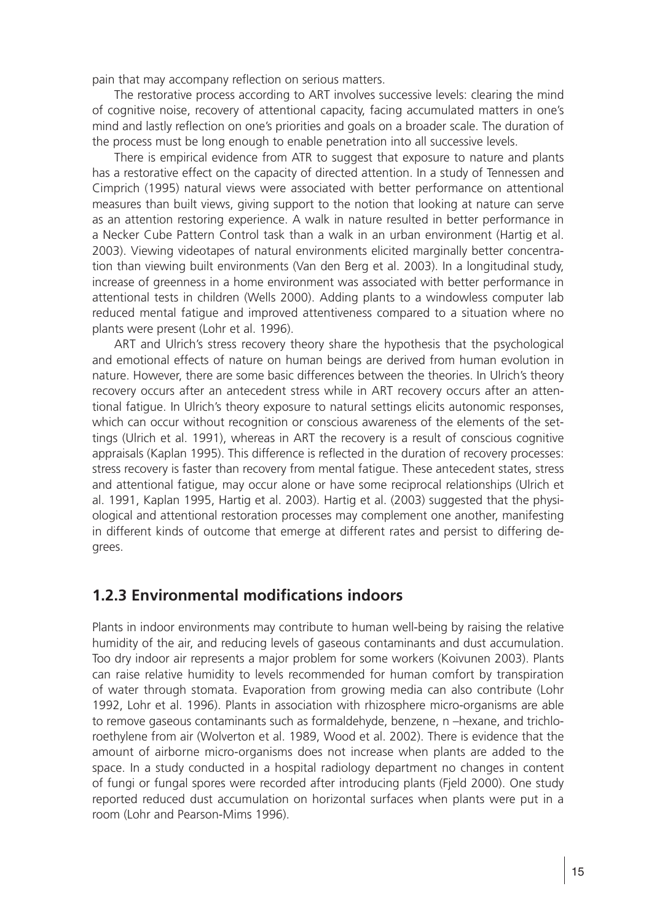pain that may accompany reflection on serious matters.

The restorative process according to ART involves successive levels: clearing the mind of cognitive noise, recovery of attentional capacity, facing accumulated matters in one's mind and lastly reflection on one's priorities and goals on a broader scale. The duration of the process must be long enough to enable penetration into all successive levels.

There is empirical evidence from ATR to suggest that exposure to nature and plants has a restorative effect on the capacity of directed attention. In a study of Tennessen and Cimprich (1995) natural views were associated with better performance on attentional measures than built views, giving support to the notion that looking at nature can serve as an attention restoring experience. A walk in nature resulted in better performance in a Necker Cube Pattern Control task than a walk in an urban environment (Hartig et al. 2003). Viewing videotapes of natural environments elicited marginally better concentration than viewing built environments (Van den Berg et al. 2003). In a longitudinal study, increase of greenness in a home environment was associated with better performance in attentional tests in children (Wells 2000). Adding plants to a windowless computer lab reduced mental fatigue and improved attentiveness compared to a situation where no plants were present (Lohr et al. 1996).

ART and Ulrich's stress recovery theory share the hypothesis that the psychological and emotional effects of nature on human beings are derived from human evolution in nature. However, there are some basic differences between the theories. In Ulrich's theory recovery occurs after an antecedent stress while in ART recovery occurs after an attentional fatigue. In Ulrich's theory exposure to natural settings elicits autonomic responses, which can occur without recognition or conscious awareness of the elements of the settings (Ulrich et al. 1991), whereas in ART the recovery is a result of conscious cognitive appraisals (Kaplan 1995). This difference is reflected in the duration of recovery processes: stress recovery is faster than recovery from mental fatigue. These antecedent states, stress and attentional fatigue, may occur alone or have some reciprocal relationships (Ulrich et al. 1991, Kaplan 1995, Hartig et al. 2003). Hartig et al. (2003) suggested that the physiological and attentional restoration processes may complement one another, manifesting in different kinds of outcome that emerge at different rates and persist to differing degrees.

#### **1.2.3 Environmental modifications indoors**

Plants in indoor environments may contribute to human well-being by raising the relative humidity of the air, and reducing levels of gaseous contaminants and dust accumulation. Too dry indoor air represents a major problem for some workers (Koivunen 2003). Plants can raise relative humidity to levels recommended for human comfort by transpiration of water through stomata. Evaporation from growing media can also contribute (Lohr 1992, Lohr et al. 1996). Plants in association with rhizosphere micro-organisms are able to remove gaseous contaminants such as formaldehyde, benzene, n –hexane, and trichloroethylene from air (Wolverton et al. 1989, Wood et al. 2002). There is evidence that the amount of airborne micro-organisms does not increase when plants are added to the space. In a study conducted in a hospital radiology department no changes in content of fungi or fungal spores were recorded after introducing plants (Fjeld 2000). One study reported reduced dust accumulation on horizontal surfaces when plants were put in a room (Lohr and Pearson-Mims 1996).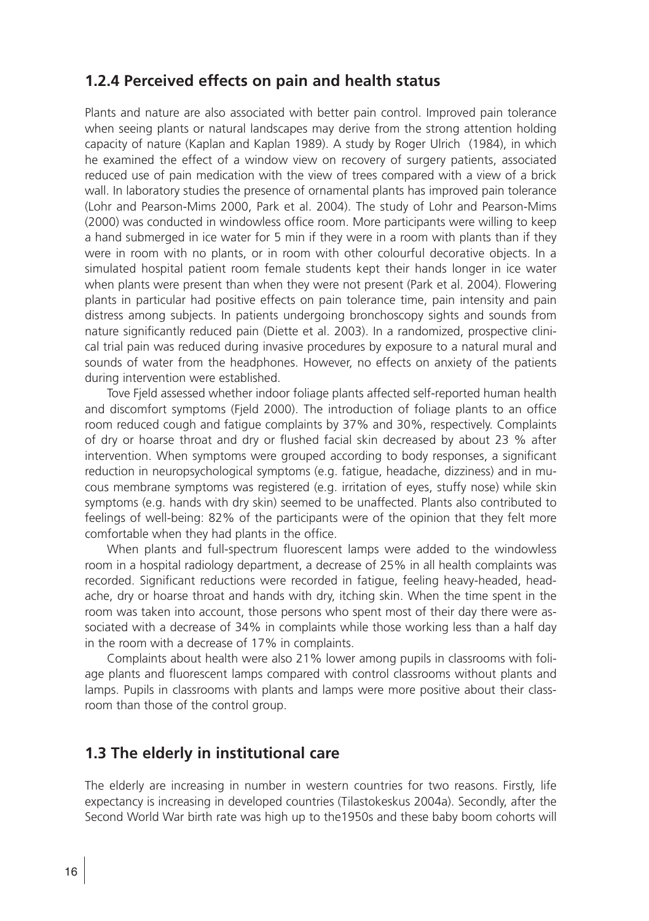#### **1.2.4 Perceived effects on pain and health status**

Plants and nature are also associated with better pain control. Improved pain tolerance when seeing plants or natural landscapes may derive from the strong attention holding capacity of nature (Kaplan and Kaplan 1989). A study by Roger Ulrich (1984), in which he examined the effect of a window view on recovery of surgery patients, associated reduced use of pain medication with the view of trees compared with a view of a brick wall. In laboratory studies the presence of ornamental plants has improved pain tolerance (Lohr and Pearson-Mims 2000, Park et al. 2004). The study of Lohr and Pearson-Mims (2000) was conducted in windowless office room. More participants were willing to keep a hand submerged in ice water for 5 min if they were in a room with plants than if they were in room with no plants, or in room with other colourful decorative objects. In a simulated hospital patient room female students kept their hands longer in ice water when plants were present than when they were not present (Park et al. 2004). Flowering plants in particular had positive effects on pain tolerance time, pain intensity and pain distress among subjects. In patients undergoing bronchoscopy sights and sounds from nature significantly reduced pain (Diette et al. 2003). In a randomized, prospective clinical trial pain was reduced during invasive procedures by exposure to a natural mural and sounds of water from the headphones. However, no effects on anxiety of the patients during intervention were established.

Tove Fjeld assessed whether indoor foliage plants affected self-reported human health and discomfort symptoms (Fjeld 2000). The introduction of foliage plants to an office room reduced cough and fatigue complaints by 37% and 30%, respectively. Complaints of dry or hoarse throat and dry or flushed facial skin decreased by about 23 % after intervention. When symptoms were grouped according to body responses, a significant reduction in neuropsychological symptoms (e.g. fatigue, headache, dizziness) and in mucous membrane symptoms was registered (e.g. irritation of eyes, stuffy nose) while skin symptoms (e.g. hands with dry skin) seemed to be unaffected. Plants also contributed to feelings of well-being: 82% of the participants were of the opinion that they felt more comfortable when they had plants in the office.

When plants and full-spectrum fluorescent lamps were added to the windowless room in a hospital radiology department, a decrease of 25% in all health complaints was recorded. Significant reductions were recorded in fatigue, feeling heavy-headed, headache, dry or hoarse throat and hands with dry, itching skin. When the time spent in the room was taken into account, those persons who spent most of their day there were associated with a decrease of 34% in complaints while those working less than a half day in the room with a decrease of 17% in complaints.

Complaints about health were also 21% lower among pupils in classrooms with foliage plants and fluorescent lamps compared with control classrooms without plants and lamps. Pupils in classrooms with plants and lamps were more positive about their classroom than those of the control group.

#### **1.3 The elderly in institutional care**

The elderly are increasing in number in western countries for two reasons. Firstly, life expectancy is increasing in developed countries (Tilastokeskus 2004a). Secondly, after the Second World War birth rate was high up to the1950s and these baby boom cohorts will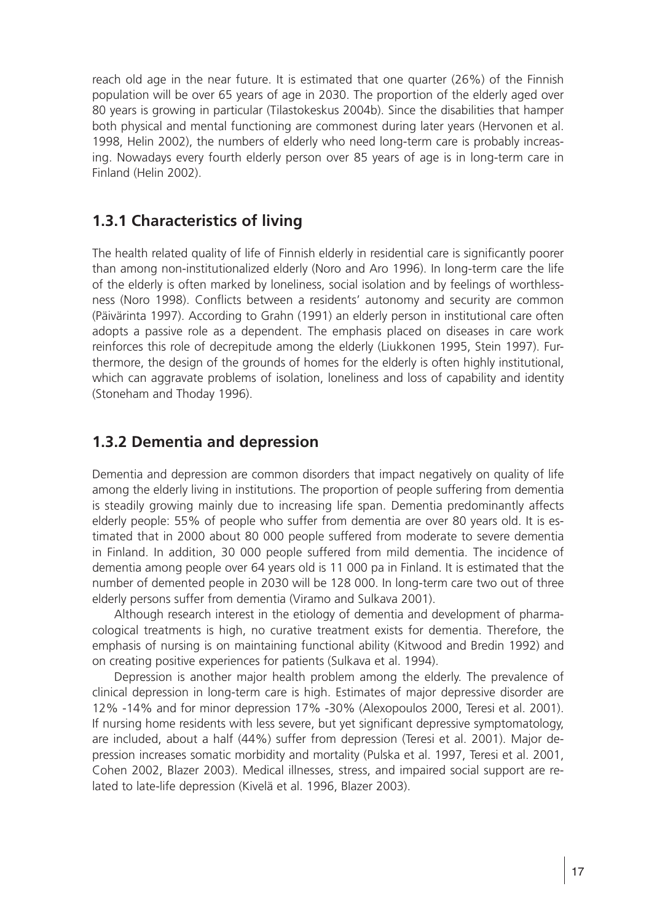reach old age in the near future. It is estimated that one quarter (26%) of the Finnish population will be over 65 years of age in 2030. The proportion of the elderly aged over 80 years is growing in particular (Tilastokeskus 2004b). Since the disabilities that hamper both physical and mental functioning are commonest during later years (Hervonen et al. 1998, Helin 2002), the numbers of elderly who need long-term care is probably increasing. Nowadays every fourth elderly person over 85 years of age is in long-term care in Finland (Helin 2002).

#### **1.3.1 Characteristics of living**

The health related quality of life of Finnish elderly in residential care is significantly poorer than among non-institutionalized elderly (Noro and Aro 1996). In long-term care the life of the elderly is often marked by loneliness, social isolation and by feelings of worthlessness (Noro 1998). Conflicts between a residents' autonomy and security are common (Päivärinta 1997). According to Grahn (1991) an elderly person in institutional care often adopts a passive role as a dependent. The emphasis placed on diseases in care work reinforces this role of decrepitude among the elderly (Liukkonen 1995, Stein 1997). Furthermore, the design of the grounds of homes for the elderly is often highly institutional, which can aggravate problems of isolation, loneliness and loss of capability and identity (Stoneham and Thoday 1996).

### **1.3.2 Dementia and depression**

Dementia and depression are common disorders that impact negatively on quality of life among the elderly living in institutions. The proportion of people suffering from dementia is steadily growing mainly due to increasing life span. Dementia predominantly affects elderly people: 55% of people who suffer from dementia are over 80 years old. It is estimated that in 2000 about 80 000 people suffered from moderate to severe dementia in Finland. In addition, 30 000 people suffered from mild dementia. The incidence of dementia among people over 64 years old is 11 000 pa in Finland. It is estimated that the number of demented people in 2030 will be 128 000. In long-term care two out of three elderly persons suffer from dementia (Viramo and Sulkava 2001).

Although research interest in the etiology of dementia and development of pharmacological treatments is high, no curative treatment exists for dementia. Therefore, the emphasis of nursing is on maintaining functional ability (Kitwood and Bredin 1992) and on creating positive experiences for patients (Sulkava et al. 1994).

Depression is another major health problem among the elderly. The prevalence of clinical depression in long-term care is high. Estimates of major depressive disorder are 12% -14% and for minor depression 17% -30% (Alexopoulos 2000, Teresi et al. 2001). If nursing home residents with less severe, but yet significant depressive symptomatology, are included, about a half (44%) suffer from depression (Teresi et al. 2001). Major depression increases somatic morbidity and mortality (Pulska et al. 1997, Teresi et al. 2001, Cohen 2002, Blazer 2003). Medical illnesses, stress, and impaired social support are related to late-life depression (Kivelä et al. 1996, Blazer 2003).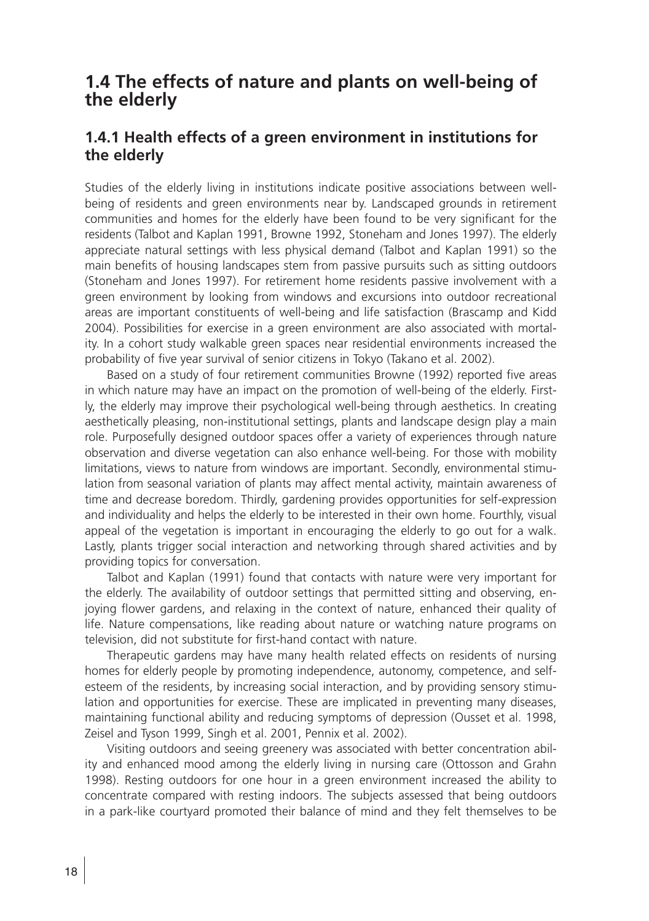## **1.4 The effects of nature and plants on well-being of the elderly**

#### **1.4.1 Health effects of a green environment in institutions for the elderly**

Studies of the elderly living in institutions indicate positive associations between wellbeing of residents and green environments near by. Landscaped grounds in retirement communities and homes for the elderly have been found to be very significant for the residents (Talbot and Kaplan 1991, Browne 1992, Stoneham and Jones 1997). The elderly appreciate natural settings with less physical demand (Talbot and Kaplan 1991) so the main benefits of housing landscapes stem from passive pursuits such as sitting outdoors (Stoneham and Jones 1997). For retirement home residents passive involvement with a green environment by looking from windows and excursions into outdoor recreational areas are important constituents of well-being and life satisfaction (Brascamp and Kidd 2004). Possibilities for exercise in a green environment are also associated with mortality. In a cohort study walkable green spaces near residential environments increased the probability of five year survival of senior citizens in Tokyo (Takano et al. 2002).

Based on a study of four retirement communities Browne (1992) reported five areas in which nature may have an impact on the promotion of well-being of the elderly. Firstly, the elderly may improve their psychological well-being through aesthetics. In creating aesthetically pleasing, non-institutional settings, plants and landscape design play a main role. Purposefully designed outdoor spaces offer a variety of experiences through nature observation and diverse vegetation can also enhance well-being. For those with mobility limitations, views to nature from windows are important. Secondly, environmental stimulation from seasonal variation of plants may affect mental activity, maintain awareness of time and decrease boredom. Thirdly, gardening provides opportunities for self-expression and individuality and helps the elderly to be interested in their own home. Fourthly, visual appeal of the vegetation is important in encouraging the elderly to go out for a walk. Lastly, plants trigger social interaction and networking through shared activities and by providing topics for conversation.

Talbot and Kaplan (1991) found that contacts with nature were very important for the elderly. The availability of outdoor settings that permitted sitting and observing, enjoying flower gardens, and relaxing in the context of nature, enhanced their quality of life. Nature compensations, like reading about nature or watching nature programs on television, did not substitute for first-hand contact with nature.

Therapeutic gardens may have many health related effects on residents of nursing homes for elderly people by promoting independence, autonomy, competence, and selfesteem of the residents, by increasing social interaction, and by providing sensory stimulation and opportunities for exercise. These are implicated in preventing many diseases, maintaining functional ability and reducing symptoms of depression (Ousset et al. 1998, Zeisel and Tyson 1999, Singh et al. 2001, Pennix et al. 2002).

Visiting outdoors and seeing greenery was associated with better concentration ability and enhanced mood among the elderly living in nursing care (Ottosson and Grahn 1998). Resting outdoors for one hour in a green environment increased the ability to concentrate compared with resting indoors. The subjects assessed that being outdoors in a park-like courtyard promoted their balance of mind and they felt themselves to be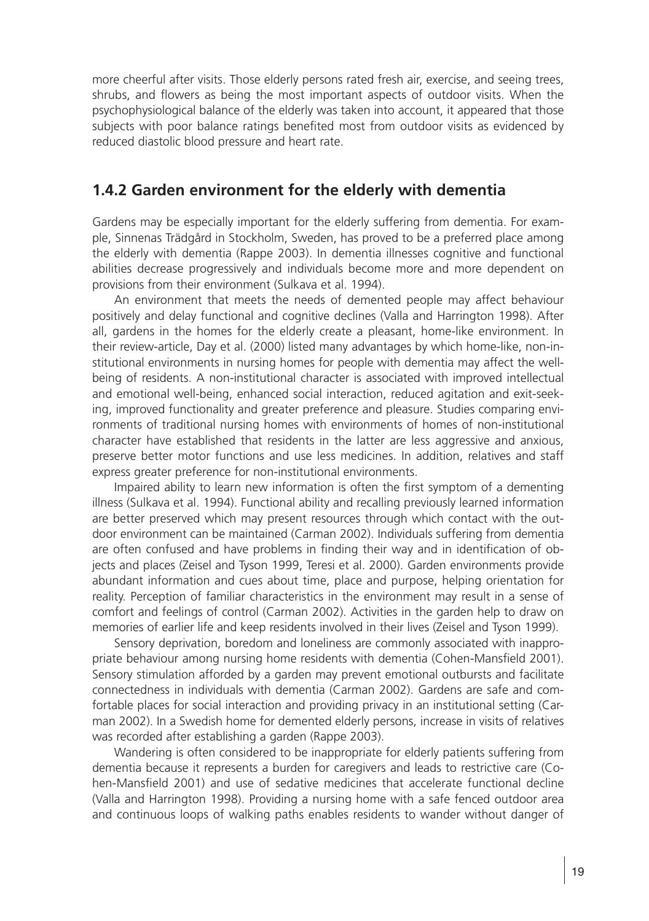more cheerful after visits. Those elderly persons rated fresh air, exercise, and seeing trees, shrubs, and flowers as being the most important aspects of outdoor visits. When the psychophysiological balance of the elderly was taken into account, it appeared that those subjects with poor balance ratings benefited most from outdoor visits as evidenced by reduced diastolic blood pressure and heart rate.

#### **1.4.2 Garden environment for the elderly with dementia**

Gardens may be especially important for the elderly suffering from dementia. For example, Sinnenas Trädgård in Stockholm, Sweden, has proved to be a preferred place among the elderly with dementia (Rappe 2003). In dementia illnesses cognitive and functional abilities decrease progressively and individuals become more and more dependent on provisions from their environment (Sulkava et al. 1994).

An environment that meets the needs of demented people may affect behaviour positively and delay functional and cognitive declines (Valla and Harrington 1998). After all, gardens in the homes for the elderly create a pleasant, home-like environment. In their review-article, Day et al. (2000) listed many advantages by which home-like, non-institutional environments in nursing homes for people with dementia may affect the wellbeing of residents. A non-institutional character is associated with improved intellectual and emotional well-being, enhanced social interaction, reduced agitation and exit-seeking, improved functionality and greater preference and pleasure. Studies comparing environments of traditional nursing homes with environments of homes of non-institutional character have established that residents in the latter are less aggressive and anxious, preserve better motor functions and use less medicines. In addition, relatives and staff express greater preference for non-institutional environments.

Impaired ability to learn new information is often the first symptom of a dementing illness (Sulkava et al. 1994). Functional ability and recalling previously learned information are better preserved which may present resources through which contact with the outdoor environment can be maintained (Carman 2002). Individuals suffering from dementia are often confused and have problems in finding their way and in identification of objects and places (Zeisel and Tyson 1999, Teresi et al. 2000). Garden environments provide abundant information and cues about time, place and purpose, helping orientation for reality. Perception of familiar characteristics in the environment may result in a sense of comfort and feelings of control (Carman 2002). Activities in the garden help to draw on memories of earlier life and keep residents involved in their lives (Zeisel and Tyson 1999).

Sensory deprivation, boredom and loneliness are commonly associated with inappropriate behaviour among nursing home residents with dementia (Cohen-Mansfield 2001). Sensory stimulation afforded by a garden may prevent emotional outbursts and facilitate connectedness in individuals with dementia (Carman 2002). Gardens are safe and comfortable places for social interaction and providing privacy in an institutional setting (Carman 2002). In a Swedish home for demented elderly persons, increase in visits of relatives was recorded after establishing a garden (Rappe 2003).

Wandering is often considered to be inappropriate for elderly patients suffering from dementia because it represents a burden for caregivers and leads to restrictive care (Cohen-Mansfield 2001) and use of sedative medicines that accelerate functional decline (Valla and Harrington 1998). Providing a nursing home with a safe fenced outdoor area and continuous loops of walking paths enables residents to wander without danger of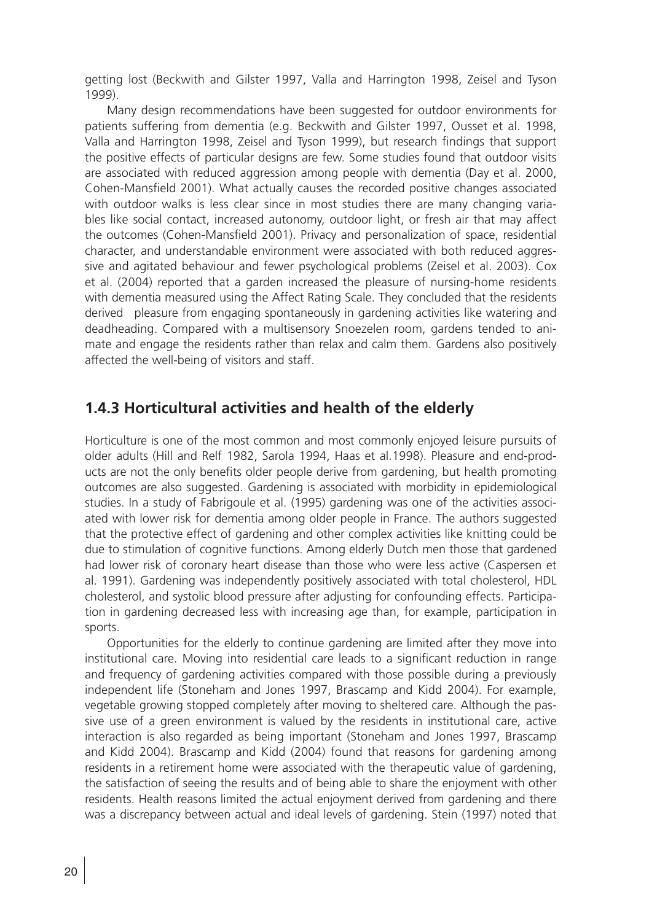getting lost (Beckwith and Gilster 1997, Valla and Harrington 1998, Zeisel and Tyson 1999).

Many design recommendations have been suggested for outdoor environments for patients suffering from dementia (e.g. Beckwith and Gilster 1997, Ousset et al. 1998, Valla and Harrington 1998, Zeisel and Tyson 1999), but research findings that support the positive effects of particular designs are few. Some studies found that outdoor visits are associated with reduced aggression among people with dementia (Day et al. 2000, Cohen-Mansfield 2001). What actually causes the recorded positive changes associated with outdoor walks is less clear since in most studies there are many changing variables like social contact, increased autonomy, outdoor light, or fresh air that may affect the outcomes (Cohen-Mansfield 2001). Privacy and personalization of space, residential character, and understandable environment were associated with both reduced aggressive and agitated behaviour and fewer psychological problems (Zeisel et al. 2003). Cox et al. (2004) reported that a garden increased the pleasure of nursing-home residents with dementia measured using the Affect Rating Scale. They concluded that the residents derived pleasure from engaging spontaneously in gardening activities like watering and deadheading. Compared with a multisensory Snoezelen room, gardens tended to animate and engage the residents rather than relax and calm them. Gardens also positively affected the well-being of visitors and staff.

#### **1.4.3 Horticultural activities and health of the elderly**

Horticulture is one of the most common and most commonly enjoyed leisure pursuits of older adults (Hill and Relf 1982, Sarola 1994, Haas et al.1998). Pleasure and end-products are not the only benefits older people derive from gardening, but health promoting outcomes are also suggested. Gardening is associated with morbidity in epidemiological studies. In a study of Fabrigoule et al. (1995) gardening was one of the activities associated with lower risk for dementia among older people in France. The authors suggested that the protective effect of gardening and other complex activities like knitting could be due to stimulation of cognitive functions. Among elderly Dutch men those that gardened had lower risk of coronary heart disease than those who were less active (Caspersen et al. 1991). Gardening was independently positively associated with total cholesterol, HDL cholesterol, and systolic blood pressure after adjusting for confounding effects. Participation in gardening decreased less with increasing age than, for example, participation in sports.

Opportunities for the elderly to continue gardening are limited after they move into institutional care. Moving into residential care leads to a significant reduction in range and frequency of gardening activities compared with those possible during a previously independent life (Stoneham and Jones 1997, Brascamp and Kidd 2004). For example, vegetable growing stopped completely after moving to sheltered care. Although the passive use of a green environment is valued by the residents in institutional care, active interaction is also regarded as being important (Stoneham and Jones 1997, Brascamp and Kidd 2004). Brascamp and Kidd (2004) found that reasons for gardening among residents in a retirement home were associated with the therapeutic value of gardening, the satisfaction of seeing the results and of being able to share the enjoyment with other residents. Health reasons limited the actual enjoyment derived from gardening and there was a discrepancy between actual and ideal levels of gardening. Stein (1997) noted that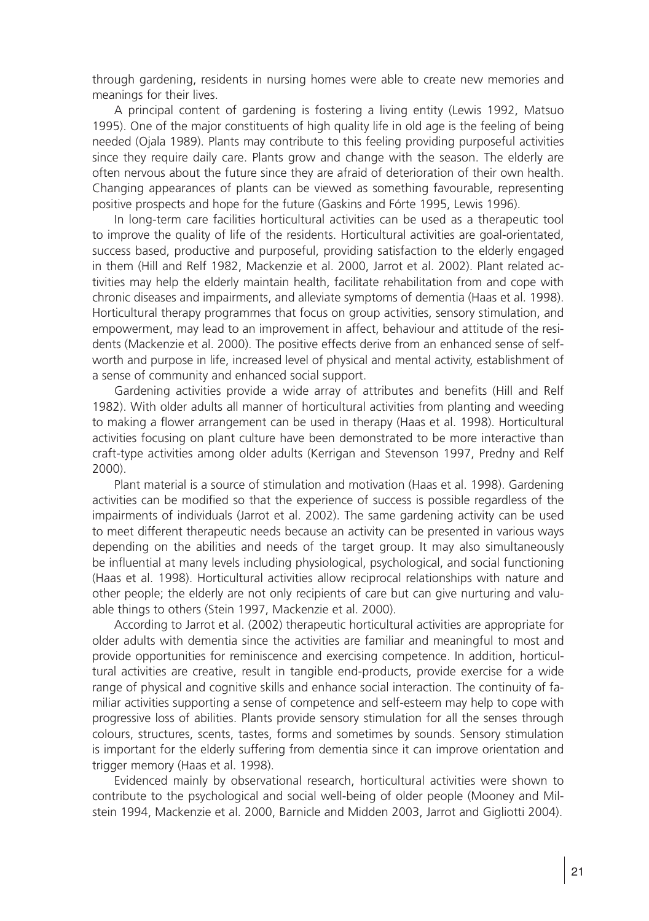through gardening, residents in nursing homes were able to create new memories and meanings for their lives.

A principal content of gardening is fostering a living entity (Lewis 1992, Matsuo 1995). One of the major constituents of high quality life in old age is the feeling of being needed (Ojala 1989). Plants may contribute to this feeling providing purposeful activities since they require daily care. Plants grow and change with the season. The elderly are often nervous about the future since they are afraid of deterioration of their own health. Changing appearances of plants can be viewed as something favourable, representing positive prospects and hope for the future (Gaskins and Fórte 1995, Lewis 1996).

In long-term care facilities horticultural activities can be used as a therapeutic tool to improve the quality of life of the residents. Horticultural activities are goal-orientated, success based, productive and purposeful, providing satisfaction to the elderly engaged in them (Hill and Relf 1982, Mackenzie et al. 2000, Jarrot et al. 2002). Plant related activities may help the elderly maintain health, facilitate rehabilitation from and cope with chronic diseases and impairments, and alleviate symptoms of dementia (Haas et al. 1998). Horticultural therapy programmes that focus on group activities, sensory stimulation, and empowerment, may lead to an improvement in affect, behaviour and attitude of the residents (Mackenzie et al. 2000). The positive effects derive from an enhanced sense of selfworth and purpose in life, increased level of physical and mental activity, establishment of a sense of community and enhanced social support.

Gardening activities provide a wide array of attributes and benefits (Hill and Relf 1982). With older adults all manner of horticultural activities from planting and weeding to making a flower arrangement can be used in therapy (Haas et al. 1998). Horticultural activities focusing on plant culture have been demonstrated to be more interactive than craft-type activities among older adults (Kerrigan and Stevenson 1997, Predny and Relf 2000).

Plant material is a source of stimulation and motivation (Haas et al. 1998). Gardening activities can be modified so that the experience of success is possible regardless of the impairments of individuals (Jarrot et al. 2002). The same gardening activity can be used to meet different therapeutic needs because an activity can be presented in various ways depending on the abilities and needs of the target group. It may also simultaneously be influential at many levels including physiological, psychological, and social functioning (Haas et al. 1998). Horticultural activities allow reciprocal relationships with nature and other people; the elderly are not only recipients of care but can give nurturing and valuable things to others (Stein 1997, Mackenzie et al. 2000).

According to Jarrot et al. (2002) therapeutic horticultural activities are appropriate for older adults with dementia since the activities are familiar and meaningful to most and provide opportunities for reminiscence and exercising competence. In addition, horticultural activities are creative, result in tangible end-products, provide exercise for a wide range of physical and cognitive skills and enhance social interaction. The continuity of familiar activities supporting a sense of competence and self-esteem may help to cope with progressive loss of abilities. Plants provide sensory stimulation for all the senses through colours, structures, scents, tastes, forms and sometimes by sounds. Sensory stimulation is important for the elderly suffering from dementia since it can improve orientation and trigger memory (Haas et al. 1998).

Evidenced mainly by observational research, horticultural activities were shown to contribute to the psychological and social well-being of older people (Mooney and Milstein 1994, Mackenzie et al. 2000, Barnicle and Midden 2003, Jarrot and Gigliotti 2004).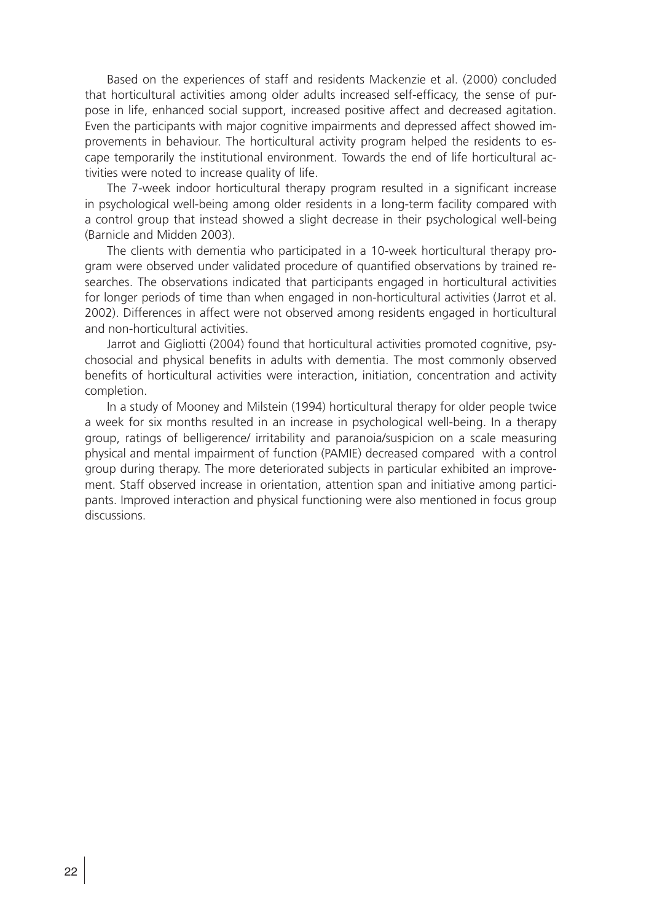Based on the experiences of staff and residents Mackenzie et al. (2000) concluded that horticultural activities among older adults increased self-efficacy, the sense of purpose in life, enhanced social support, increased positive affect and decreased agitation. Even the participants with major cognitive impairments and depressed affect showed improvements in behaviour. The horticultural activity program helped the residents to escape temporarily the institutional environment. Towards the end of life horticultural activities were noted to increase quality of life.

The 7-week indoor horticultural therapy program resulted in a significant increase in psychological well-being among older residents in a long-term facility compared with a control group that instead showed a slight decrease in their psychological well-being (Barnicle and Midden 2003).

The clients with dementia who participated in a 10-week horticultural therapy program were observed under validated procedure of quantified observations by trained researches. The observations indicated that participants engaged in horticultural activities for longer periods of time than when engaged in non-horticultural activities (Jarrot et al. 2002). Differences in affect were not observed among residents engaged in horticultural and non-horticultural activities.

Jarrot and Gigliotti (2004) found that horticultural activities promoted cognitive, psychosocial and physical benefits in adults with dementia. The most commonly observed benefits of horticultural activities were interaction, initiation, concentration and activity completion.

In a study of Mooney and Milstein (1994) horticultural therapy for older people twice a week for six months resulted in an increase in psychological well-being. In a therapy group, ratings of belligerence/ irritability and paranoia/suspicion on a scale measuring physical and mental impairment of function (PAMIE) decreased compared with a control group during therapy. The more deteriorated subjects in particular exhibited an improvement. Staff observed increase in orientation, attention span and initiative among participants. Improved interaction and physical functioning were also mentioned in focus group discussions.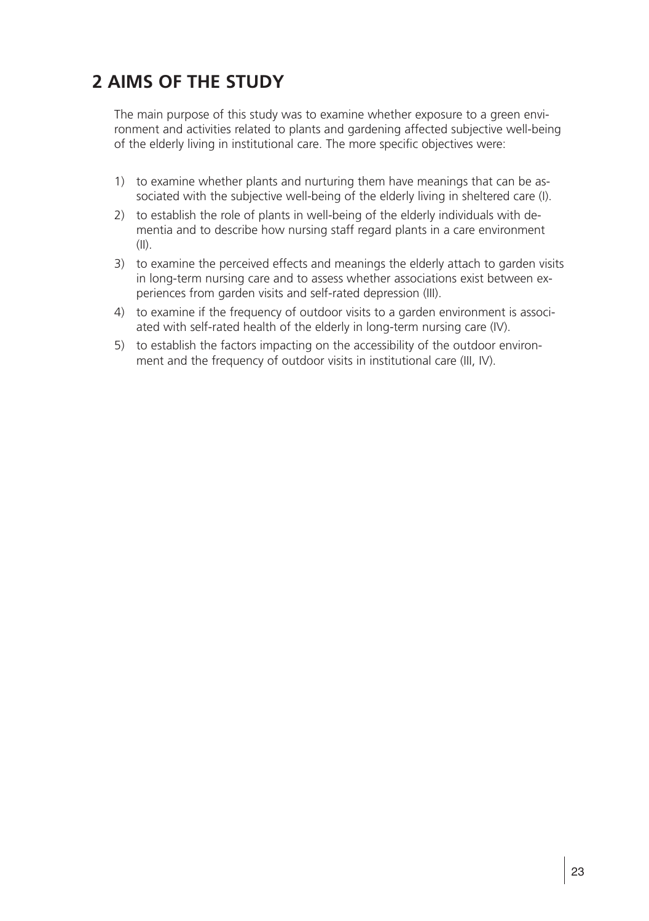## **2 AIMS OF THE STUDY**

The main purpose of this study was to examine whether exposure to a green environment and activities related to plants and gardening affected subjective well-being of the elderly living in institutional care. The more specific objectives were:

- 1) to examine whether plants and nurturing them have meanings that can be associated with the subjective well-being of the elderly living in sheltered care (I).
- 2) to establish the role of plants in well-being of the elderly individuals with dementia and to describe how nursing staff regard plants in a care environment  $(11)$ .
- 3) to examine the perceived effects and meanings the elderly attach to garden visits in long-term nursing care and to assess whether associations exist between experiences from garden visits and self-rated depression (III).
- 4) to examine if the frequency of outdoor visits to a garden environment is associated with self-rated health of the elderly in long-term nursing care (IV).
- 5) to establish the factors impacting on the accessibility of the outdoor environment and the frequency of outdoor visits in institutional care (III, IV).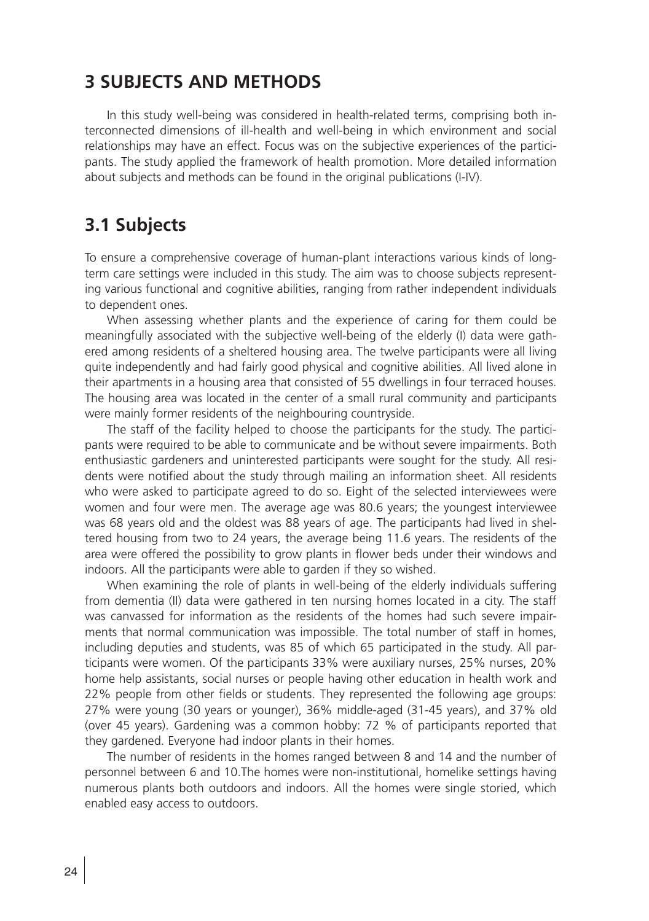## **3 SUBJECTS AND METHODS**

In this study well-being was considered in health-related terms, comprising both interconnected dimensions of ill-health and well-being in which environment and social relationships may have an effect. Focus was on the subjective experiences of the participants. The study applied the framework of health promotion. More detailed information about subjects and methods can be found in the original publications (I-IV).

## **3.1 Subjects**

To ensure a comprehensive coverage of human-plant interactions various kinds of longterm care settings were included in this study. The aim was to choose subjects representing various functional and cognitive abilities, ranging from rather independent individuals to dependent ones.

When assessing whether plants and the experience of caring for them could be meaningfully associated with the subjective well-being of the elderly (I) data were gathered among residents of a sheltered housing area. The twelve participants were all living quite independently and had fairly good physical and cognitive abilities. All lived alone in their apartments in a housing area that consisted of 55 dwellings in four terraced houses. The housing area was located in the center of a small rural community and participants were mainly former residents of the neighbouring countryside.

The staff of the facility helped to choose the participants for the study. The participants were required to be able to communicate and be without severe impairments. Both enthusiastic gardeners and uninterested participants were sought for the study. All residents were notified about the study through mailing an information sheet. All residents who were asked to participate agreed to do so. Eight of the selected interviewees were women and four were men. The average age was 80.6 years; the youngest interviewee was 68 years old and the oldest was 88 years of age. The participants had lived in sheltered housing from two to 24 years, the average being 11.6 years. The residents of the area were offered the possibility to grow plants in flower beds under their windows and indoors. All the participants were able to garden if they so wished.

When examining the role of plants in well-being of the elderly individuals suffering from dementia (II) data were gathered in ten nursing homes located in a city. The staff was canvassed for information as the residents of the homes had such severe impairments that normal communication was impossible. The total number of staff in homes, including deputies and students, was 85 of which 65 participated in the study. All participants were women. Of the participants 33% were auxiliary nurses, 25% nurses, 20% home help assistants, social nurses or people having other education in health work and 22% people from other fields or students. They represented the following age groups: 27% were young (30 years or younger), 36% middle-aged (31-45 years), and 37% old (over 45 years). Gardening was a common hobby: 72 % of participants reported that they gardened. Everyone had indoor plants in their homes.

The number of residents in the homes ranged between 8 and 14 and the number of personnel between 6 and 10.The homes were non-institutional, homelike settings having numerous plants both outdoors and indoors. All the homes were single storied, which enabled easy access to outdoors.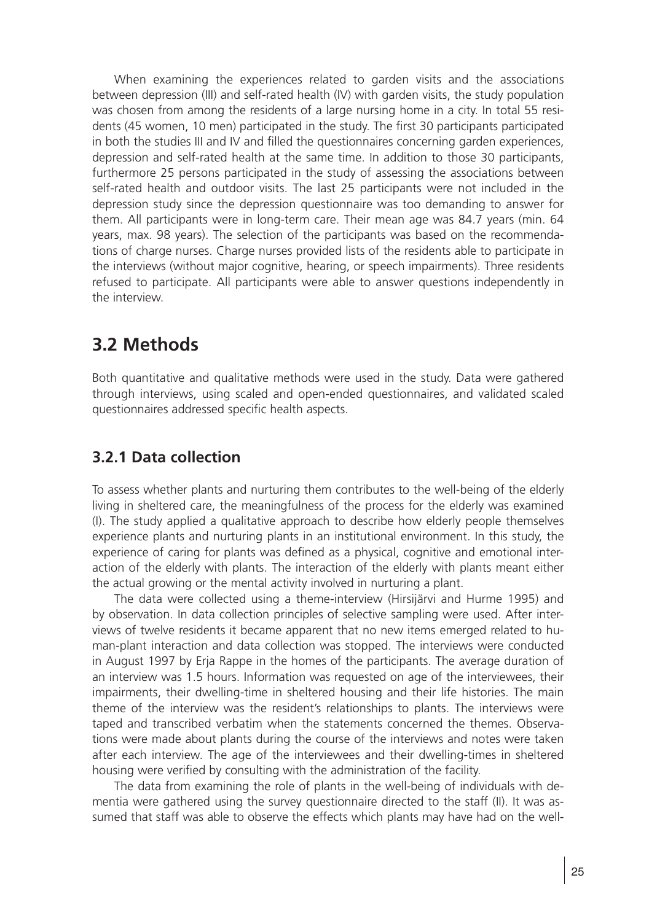When examining the experiences related to garden visits and the associations between depression (III) and self-rated health (IV) with garden visits, the study population was chosen from among the residents of a large nursing home in a city. In total 55 residents (45 women, 10 men) participated in the study. The first 30 participants participated in both the studies III and IV and filled the questionnaires concerning garden experiences, depression and self-rated health at the same time. In addition to those 30 participants, furthermore 25 persons participated in the study of assessing the associations between self-rated health and outdoor visits. The last 25 participants were not included in the depression study since the depression questionnaire was too demanding to answer for them. All participants were in long-term care. Their mean age was 84.7 years (min. 64 years, max. 98 years). The selection of the participants was based on the recommendations of charge nurses. Charge nurses provided lists of the residents able to participate in the interviews (without major cognitive, hearing, or speech impairments). Three residents refused to participate. All participants were able to answer questions independently in the interview.

## **3.2 Methods**

Both quantitative and qualitative methods were used in the study. Data were gathered through interviews, using scaled and open-ended questionnaires, and validated scaled questionnaires addressed specific health aspects.

## **3.2.1 Data collection**

To assess whether plants and nurturing them contributes to the well-being of the elderly living in sheltered care, the meaningfulness of the process for the elderly was examined (I). The study applied a qualitative approach to describe how elderly people themselves experience plants and nurturing plants in an institutional environment. In this study, the experience of caring for plants was defined as a physical, cognitive and emotional interaction of the elderly with plants. The interaction of the elderly with plants meant either the actual growing or the mental activity involved in nurturing a plant.

The data were collected using a theme-interview (Hirsijärvi and Hurme 1995) and by observation. In data collection principles of selective sampling were used. After interviews of twelve residents it became apparent that no new items emerged related to human-plant interaction and data collection was stopped. The interviews were conducted in August 1997 by Erja Rappe in the homes of the participants. The average duration of an interview was 1.5 hours. Information was requested on age of the interviewees, their impairments, their dwelling-time in sheltered housing and their life histories. The main theme of the interview was the resident's relationships to plants. The interviews were taped and transcribed verbatim when the statements concerned the themes. Observations were made about plants during the course of the interviews and notes were taken after each interview. The age of the interviewees and their dwelling-times in sheltered housing were verified by consulting with the administration of the facility.

The data from examining the role of plants in the well-being of individuals with dementia were gathered using the survey questionnaire directed to the staff (II). It was assumed that staff was able to observe the effects which plants may have had on the well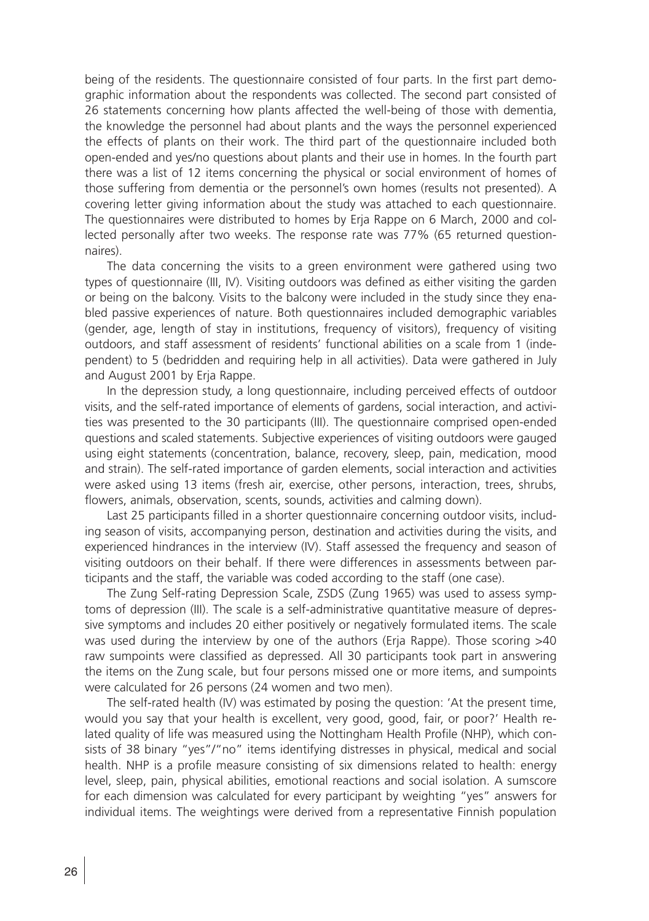being of the residents. The questionnaire consisted of four parts. In the first part demographic information about the respondents was collected. The second part consisted of 26 statements concerning how plants affected the well-being of those with dementia, the knowledge the personnel had about plants and the ways the personnel experienced the effects of plants on their work. The third part of the questionnaire included both open-ended and yes/no questions about plants and their use in homes. In the fourth part there was a list of 12 items concerning the physical or social environment of homes of those suffering from dementia or the personnel's own homes (results not presented). A covering letter giving information about the study was attached to each questionnaire. The questionnaires were distributed to homes by Erja Rappe on 6 March, 2000 and collected personally after two weeks. The response rate was 77% (65 returned questionnaires).

The data concerning the visits to a green environment were gathered using two types of questionnaire (III, IV). Visiting outdoors was defined as either visiting the garden or being on the balcony. Visits to the balcony were included in the study since they enabled passive experiences of nature. Both questionnaires included demographic variables (gender, age, length of stay in institutions, frequency of visitors), frequency of visiting outdoors, and staff assessment of residents' functional abilities on a scale from 1 (independent) to 5 (bedridden and requiring help in all activities). Data were gathered in July and August 2001 by Erja Rappe.

In the depression study, a long questionnaire, including perceived effects of outdoor visits, and the self-rated importance of elements of gardens, social interaction, and activities was presented to the 30 participants (III). The questionnaire comprised open-ended questions and scaled statements. Subjective experiences of visiting outdoors were gauged using eight statements (concentration, balance, recovery, sleep, pain, medication, mood and strain). The self-rated importance of garden elements, social interaction and activities were asked using 13 items (fresh air, exercise, other persons, interaction, trees, shrubs, flowers, animals, observation, scents, sounds, activities and calming down).

Last 25 participants filled in a shorter questionnaire concerning outdoor visits, including season of visits, accompanying person, destination and activities during the visits, and experienced hindrances in the interview (IV). Staff assessed the frequency and season of visiting outdoors on their behalf. If there were differences in assessments between participants and the staff, the variable was coded according to the staff (one case).

The Zung Self-rating Depression Scale, ZSDS (Zung 1965) was used to assess symptoms of depression (III). The scale is a self-administrative quantitative measure of depressive symptoms and includes 20 either positively or negatively formulated items. The scale was used during the interview by one of the authors (Erja Rappe). Those scoring >40 raw sumpoints were classified as depressed. All 30 participants took part in answering the items on the Zung scale, but four persons missed one or more items, and sumpoints were calculated for 26 persons (24 women and two men).

The self-rated health (IV) was estimated by posing the question: 'At the present time, would you say that your health is excellent, very good, good, fair, or poor?' Health related quality of life was measured using the Nottingham Health Profile (NHP), which consists of 38 binary "yes"/"no" items identifying distresses in physical, medical and social health. NHP is a profile measure consisting of six dimensions related to health: energy level, sleep, pain, physical abilities, emotional reactions and social isolation. A sumscore for each dimension was calculated for every participant by weighting "yes" answers for individual items. The weightings were derived from a representative Finnish population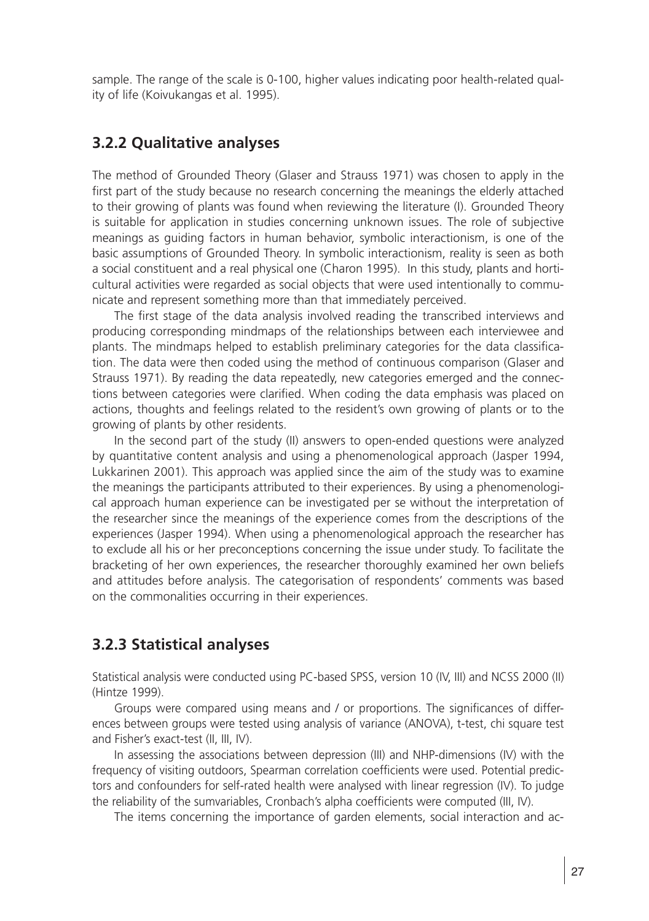sample. The range of the scale is 0-100, higher values indicating poor health-related quality of life (Koivukangas et al. 1995).

#### **3.2.2 Qualitative analyses**

The method of Grounded Theory (Glaser and Strauss 1971) was chosen to apply in the first part of the study because no research concerning the meanings the elderly attached to their growing of plants was found when reviewing the literature (I). Grounded Theory is suitable for application in studies concerning unknown issues. The role of subjective meanings as guiding factors in human behavior, symbolic interactionism, is one of the basic assumptions of Grounded Theory. In symbolic interactionism, reality is seen as both a social constituent and a real physical one (Charon 1995). In this study, plants and horticultural activities were regarded as social objects that were used intentionally to communicate and represent something more than that immediately perceived.

The first stage of the data analysis involved reading the transcribed interviews and producing corresponding mindmaps of the relationships between each interviewee and plants. The mindmaps helped to establish preliminary categories for the data classification. The data were then coded using the method of continuous comparison (Glaser and Strauss 1971). By reading the data repeatedly, new categories emerged and the connections between categories were clarified. When coding the data emphasis was placed on actions, thoughts and feelings related to the resident's own growing of plants or to the growing of plants by other residents.

In the second part of the study (II) answers to open-ended questions were analyzed by quantitative content analysis and using a phenomenological approach (Jasper 1994, Lukkarinen 2001). This approach was applied since the aim of the study was to examine the meanings the participants attributed to their experiences. By using a phenomenological approach human experience can be investigated per se without the interpretation of the researcher since the meanings of the experience comes from the descriptions of the experiences (Jasper 1994). When using a phenomenological approach the researcher has to exclude all his or her preconceptions concerning the issue under study. To facilitate the bracketing of her own experiences, the researcher thoroughly examined her own beliefs and attitudes before analysis. The categorisation of respondents' comments was based on the commonalities occurring in their experiences.

#### **3.2.3 Statistical analyses**

Statistical analysis were conducted using PC-based SPSS, version 10 (IV, III) and NCSS 2000 (II) (Hintze 1999).

Groups were compared using means and / or proportions. The significances of differences between groups were tested using analysis of variance (ANOVA), t-test, chi square test and Fisher's exact-test (II, III, IV).

In assessing the associations between depression (III) and NHP-dimensions (IV) with the frequency of visiting outdoors, Spearman correlation coefficients were used. Potential predictors and confounders for self-rated health were analysed with linear regression (IV). To judge the reliability of the sumvariables, Cronbach's alpha coefficients were computed (III, IV).

The items concerning the importance of garden elements, social interaction and ac-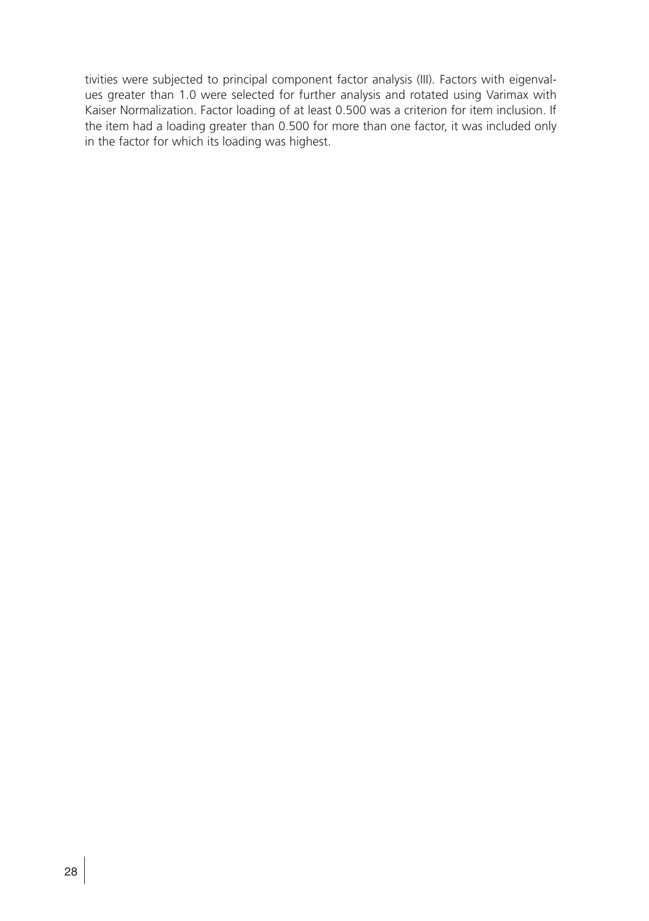tivities were subjected to principal component factor analysis (III). Factors with eigenvalues greater than 1.0 were selected for further analysis and rotated using Varimax with Kaiser Normalization. Factor loading of at least 0.500 was a criterion for item inclusion. If the item had a loading greater than 0.500 for more than one factor, it was included only in the factor for which its loading was highest.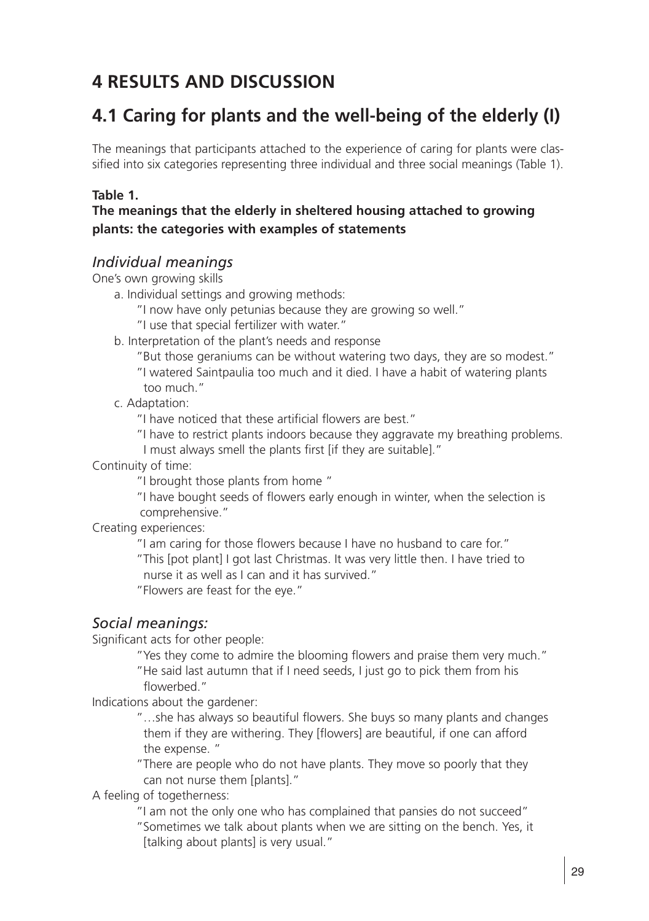## **4 RESULTS AND DISCUSSION**

## **4.1 Caring for plants and the well-being of the elderly (I)**

The meanings that participants attached to the experience of caring for plants were classified into six categories representing three individual and three social meanings (Table 1).

#### **Table 1.**

#### **The meanings that the elderly in sheltered housing attached to growing plants: the categories with examples of statements**

#### *Individual meanings*

One's own growing skills

- a. Individual settings and growing methods:
	- "I now have only petunias because they are growing so well."
	- "I use that special fertilizer with water."
- b. Interpretation of the plant's needs and response
	- "But those geraniums can be without watering two days, they are so modest."
	- "I watered Saintpaulia too much and it died. I have a habit of watering plants too much."
- c. Adaptation:

"I have noticed that these artificial flowers are best."

"I have to restrict plants indoors because they aggravate my breathing problems.

I must always smell the plants first [if they are suitable]."

Continuity of time:

"I brought those plants from home "

"I have bought seeds of flowers early enough in winter, when the selection is comprehensive."

Creating experiences:

"I am caring for those flowers because I have no husband to care for."

 "This [pot plant] I got last Christmas. It was very little then. I have tried to nurse it as well as I can and it has survived."

"Flowers are feast for the eye."

#### *Social meanings:*

Significant acts for other people:

"Yes they come to admire the blooming flowers and praise them very much." "He said last autumn that if I need seeds, I just go to pick them from his flowerbed."

Indications about the gardener:

"...she has always so beautiful flowers. She buys so many plants and changes them if they are withering. They [flowers] are beautiful, if one can afford the expense. "

 "There are people who do not have plants. They move so poorly that they can not nurse them [plants]."

A feeling of togetherness:

 "I am not the only one who has complained that pansies do not succeed" "Sometimes we talk about plants when we are sitting on the bench. Yes, it [talking about plants] is very usual."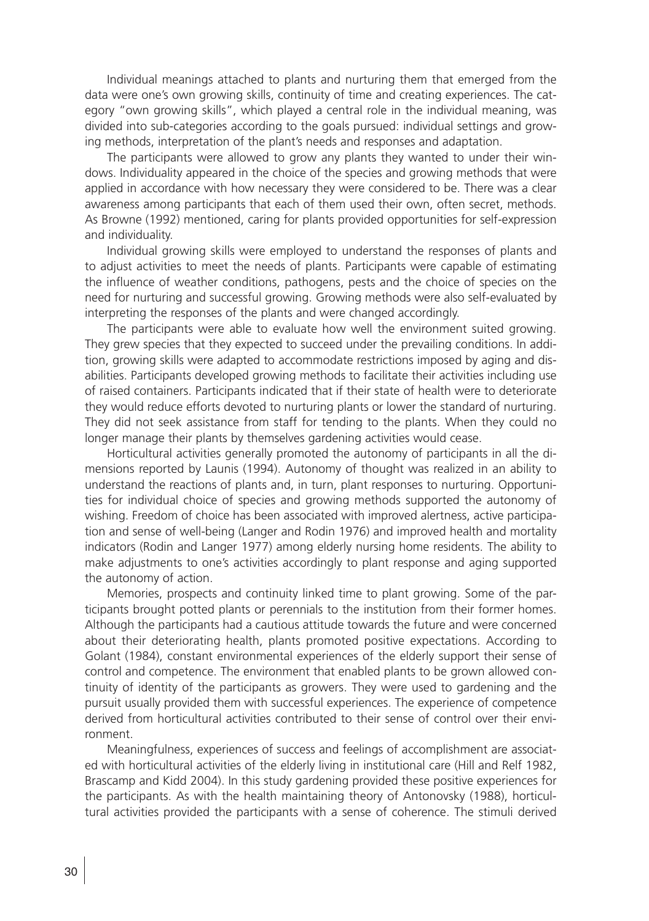Individual meanings attached to plants and nurturing them that emerged from the data were one's own growing skills, continuity of time and creating experiences. The category "own growing skills", which played a central role in the individual meaning, was divided into sub-categories according to the goals pursued: individual settings and growing methods, interpretation of the plant's needs and responses and adaptation.

The participants were allowed to grow any plants they wanted to under their windows. Individuality appeared in the choice of the species and growing methods that were applied in accordance with how necessary they were considered to be. There was a clear awareness among participants that each of them used their own, often secret, methods. As Browne (1992) mentioned, caring for plants provided opportunities for self-expression and individuality.

Individual growing skills were employed to understand the responses of plants and to adjust activities to meet the needs of plants. Participants were capable of estimating the influence of weather conditions, pathogens, pests and the choice of species on the need for nurturing and successful growing. Growing methods were also self-evaluated by interpreting the responses of the plants and were changed accordingly.

The participants were able to evaluate how well the environment suited growing. They grew species that they expected to succeed under the prevailing conditions. In addition, growing skills were adapted to accommodate restrictions imposed by aging and disabilities. Participants developed growing methods to facilitate their activities including use of raised containers. Participants indicated that if their state of health were to deteriorate they would reduce efforts devoted to nurturing plants or lower the standard of nurturing. They did not seek assistance from staff for tending to the plants. When they could no longer manage their plants by themselves gardening activities would cease.

Horticultural activities generally promoted the autonomy of participants in all the dimensions reported by Launis (1994). Autonomy of thought was realized in an ability to understand the reactions of plants and, in turn, plant responses to nurturing. Opportunities for individual choice of species and growing methods supported the autonomy of wishing. Freedom of choice has been associated with improved alertness, active participation and sense of well-being (Langer and Rodin 1976) and improved health and mortality indicators (Rodin and Langer 1977) among elderly nursing home residents. The ability to make adjustments to one's activities accordingly to plant response and aging supported the autonomy of action.

Memories, prospects and continuity linked time to plant growing. Some of the participants brought potted plants or perennials to the institution from their former homes. Although the participants had a cautious attitude towards the future and were concerned about their deteriorating health, plants promoted positive expectations. According to Golant (1984), constant environmental experiences of the elderly support their sense of control and competence. The environment that enabled plants to be grown allowed continuity of identity of the participants as growers. They were used to gardening and the pursuit usually provided them with successful experiences. The experience of competence derived from horticultural activities contributed to their sense of control over their environment.

Meaningfulness, experiences of success and feelings of accomplishment are associated with horticultural activities of the elderly living in institutional care (Hill and Relf 1982, Brascamp and Kidd 2004). In this study gardening provided these positive experiences for the participants. As with the health maintaining theory of Antonovsky (1988), horticultural activities provided the participants with a sense of coherence. The stimuli derived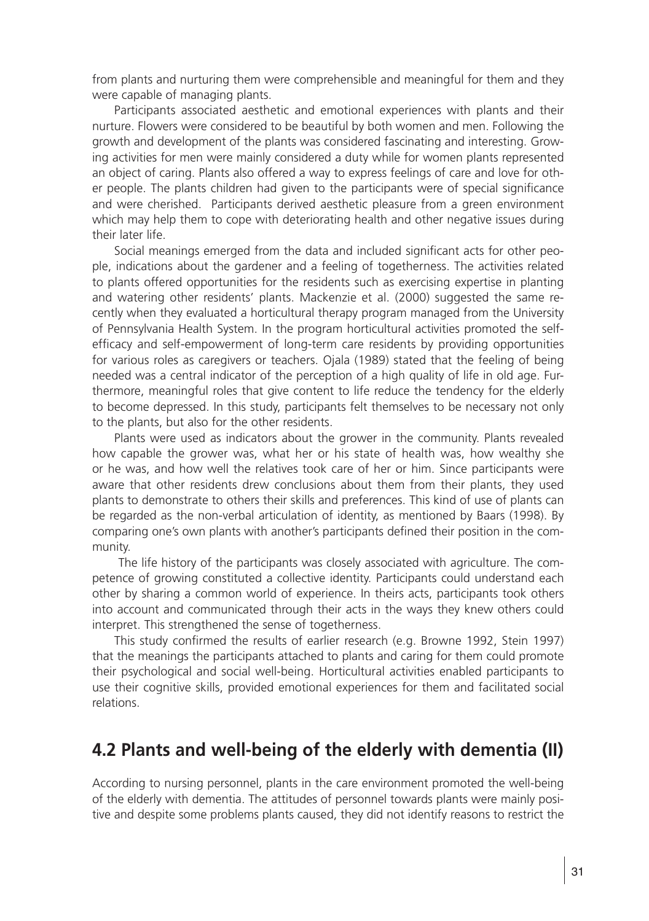from plants and nurturing them were comprehensible and meaningful for them and they were capable of managing plants.

Participants associated aesthetic and emotional experiences with plants and their nurture. Flowers were considered to be beautiful by both women and men. Following the growth and development of the plants was considered fascinating and interesting. Growing activities for men were mainly considered a duty while for women plants represented an object of caring. Plants also offered a way to express feelings of care and love for other people. The plants children had given to the participants were of special significance and were cherished. Participants derived aesthetic pleasure from a green environment which may help them to cope with deteriorating health and other negative issues during their later life.

Social meanings emerged from the data and included significant acts for other people, indications about the gardener and a feeling of togetherness. The activities related to plants offered opportunities for the residents such as exercising expertise in planting and watering other residents' plants. Mackenzie et al. (2000) suggested the same recently when they evaluated a horticultural therapy program managed from the University of Pennsylvania Health System. In the program horticultural activities promoted the selfefficacy and self-empowerment of long-term care residents by providing opportunities for various roles as caregivers or teachers. Ojala (1989) stated that the feeling of being needed was a central indicator of the perception of a high quality of life in old age. Furthermore, meaningful roles that give content to life reduce the tendency for the elderly to become depressed. In this study, participants felt themselves to be necessary not only to the plants, but also for the other residents.

Plants were used as indicators about the grower in the community. Plants revealed how capable the grower was, what her or his state of health was, how wealthy she or he was, and how well the relatives took care of her or him. Since participants were aware that other residents drew conclusions about them from their plants, they used plants to demonstrate to others their skills and preferences. This kind of use of plants can be regarded as the non-verbal articulation of identity, as mentioned by Baars (1998). By comparing one's own plants with another's participants defined their position in the community.

 The life history of the participants was closely associated with agriculture. The competence of growing constituted a collective identity. Participants could understand each other by sharing a common world of experience. In theirs acts, participants took others into account and communicated through their acts in the ways they knew others could interpret. This strengthened the sense of togetherness.

This study confirmed the results of earlier research (e.g. Browne 1992, Stein 1997) that the meanings the participants attached to plants and caring for them could promote their psychological and social well-being. Horticultural activities enabled participants to use their cognitive skills, provided emotional experiences for them and facilitated social relations.

## **4.2 Plants and well-being of the elderly with dementia (II)**

According to nursing personnel, plants in the care environment promoted the well-being of the elderly with dementia. The attitudes of personnel towards plants were mainly positive and despite some problems plants caused, they did not identify reasons to restrict the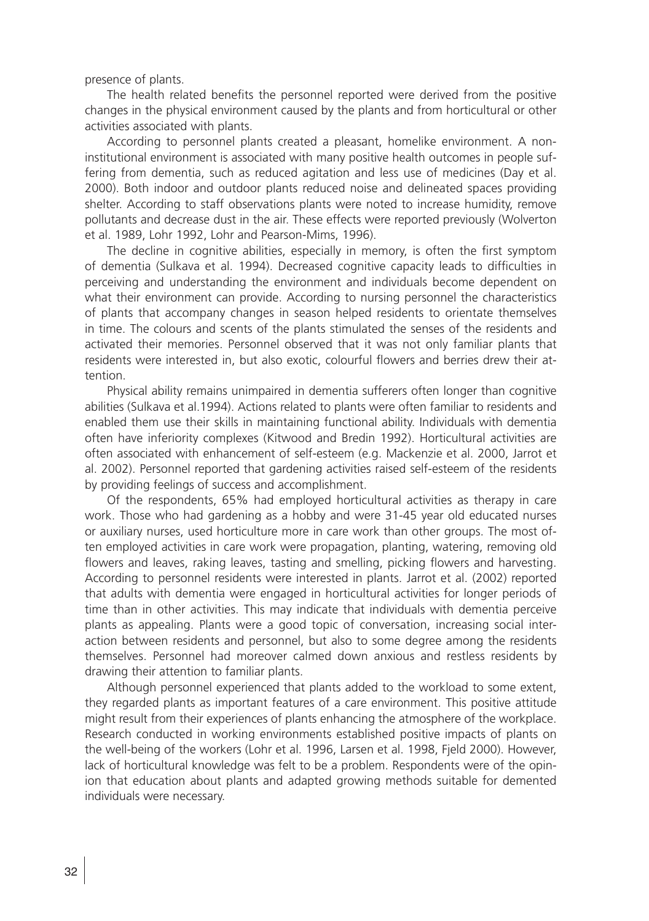presence of plants.

The health related benefits the personnel reported were derived from the positive changes in the physical environment caused by the plants and from horticultural or other activities associated with plants.

According to personnel plants created a pleasant, homelike environment. A noninstitutional environment is associated with many positive health outcomes in people suffering from dementia, such as reduced agitation and less use of medicines (Day et al. 2000). Both indoor and outdoor plants reduced noise and delineated spaces providing shelter. According to staff observations plants were noted to increase humidity, remove pollutants and decrease dust in the air. These effects were reported previously (Wolverton et al. 1989, Lohr 1992, Lohr and Pearson-Mims, 1996).

The decline in cognitive abilities, especially in memory, is often the first symptom of dementia (Sulkava et al. 1994). Decreased cognitive capacity leads to difficulties in perceiving and understanding the environment and individuals become dependent on what their environment can provide. According to nursing personnel the characteristics of plants that accompany changes in season helped residents to orientate themselves in time. The colours and scents of the plants stimulated the senses of the residents and activated their memories. Personnel observed that it was not only familiar plants that residents were interested in, but also exotic, colourful flowers and berries drew their attention.

Physical ability remains unimpaired in dementia sufferers often longer than cognitive abilities (Sulkava et al.1994). Actions related to plants were often familiar to residents and enabled them use their skills in maintaining functional ability. Individuals with dementia often have inferiority complexes (Kitwood and Bredin 1992). Horticultural activities are often associated with enhancement of self-esteem (e.g. Mackenzie et al. 2000, Jarrot et al. 2002). Personnel reported that gardening activities raised self-esteem of the residents by providing feelings of success and accomplishment.

Of the respondents, 65% had employed horticultural activities as therapy in care work. Those who had gardening as a hobby and were 31-45 year old educated nurses or auxiliary nurses, used horticulture more in care work than other groups. The most often employed activities in care work were propagation, planting, watering, removing old flowers and leaves, raking leaves, tasting and smelling, picking flowers and harvesting. According to personnel residents were interested in plants. Jarrot et al. (2002) reported that adults with dementia were engaged in horticultural activities for longer periods of time than in other activities. This may indicate that individuals with dementia perceive plants as appealing. Plants were a good topic of conversation, increasing social interaction between residents and personnel, but also to some degree among the residents themselves. Personnel had moreover calmed down anxious and restless residents by drawing their attention to familiar plants.

Although personnel experienced that plants added to the workload to some extent, they regarded plants as important features of a care environment. This positive attitude might result from their experiences of plants enhancing the atmosphere of the workplace. Research conducted in working environments established positive impacts of plants on the well-being of the workers (Lohr et al. 1996, Larsen et al. 1998, Fjeld 2000). However, lack of horticultural knowledge was felt to be a problem. Respondents were of the opinion that education about plants and adapted growing methods suitable for demented individuals were necessary.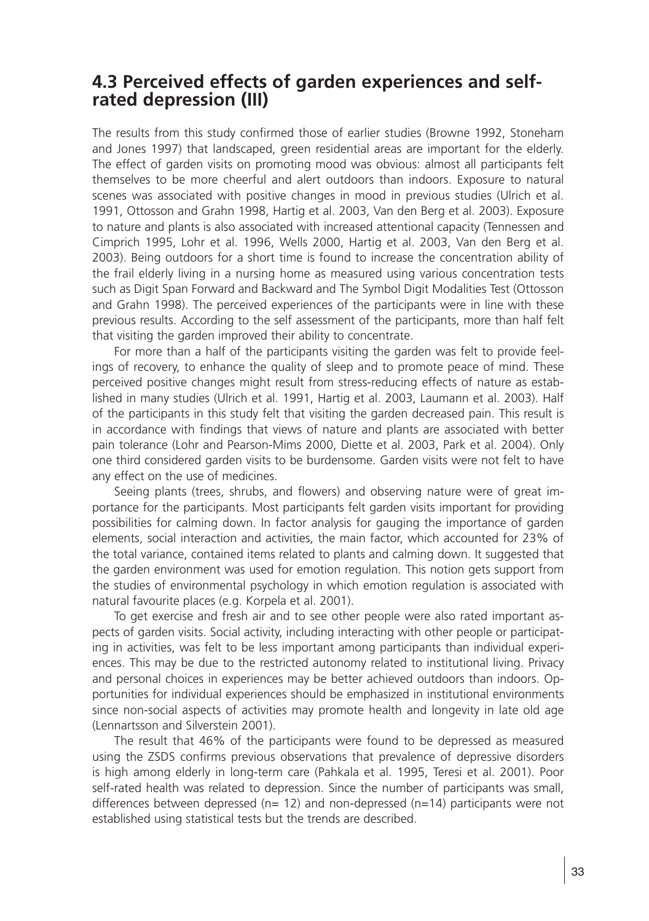## **4.3 Perceived effects of garden experiences and selfrated depression (III)**

The results from this study confirmed those of earlier studies (Browne 1992, Stoneham and Jones 1997) that landscaped, green residential areas are important for the elderly. The effect of garden visits on promoting mood was obvious: almost all participants felt themselves to be more cheerful and alert outdoors than indoors. Exposure to natural scenes was associated with positive changes in mood in previous studies (Ulrich et al. 1991, Ottosson and Grahn 1998, Hartig et al. 2003, Van den Berg et al. 2003). Exposure to nature and plants is also associated with increased attentional capacity (Tennessen and Cimprich 1995, Lohr et al. 1996, Wells 2000, Hartig et al. 2003, Van den Berg et al. 2003). Being outdoors for a short time is found to increase the concentration ability of the frail elderly living in a nursing home as measured using various concentration tests such as Digit Span Forward and Backward and The Symbol Digit Modalities Test (Ottosson and Grahn 1998). The perceived experiences of the participants were in line with these previous results. According to the self assessment of the participants, more than half felt that visiting the garden improved their ability to concentrate.

For more than a half of the participants visiting the garden was felt to provide feelings of recovery, to enhance the quality of sleep and to promote peace of mind. These perceived positive changes might result from stress-reducing effects of nature as established in many studies (Ulrich et al. 1991, Hartig et al. 2003, Laumann et al. 2003). Half of the participants in this study felt that visiting the garden decreased pain. This result is in accordance with findings that views of nature and plants are associated with better pain tolerance (Lohr and Pearson-Mims 2000, Diette et al. 2003, Park et al. 2004). Only one third considered garden visits to be burdensome. Garden visits were not felt to have any effect on the use of medicines.

Seeing plants (trees, shrubs, and flowers) and observing nature were of great importance for the participants. Most participants felt garden visits important for providing possibilities for calming down. In factor analysis for gauging the importance of garden elements, social interaction and activities, the main factor, which accounted for 23% of the total variance, contained items related to plants and calming down. It suggested that the garden environment was used for emotion regulation. This notion gets support from the studies of environmental psychology in which emotion regulation is associated with natural favourite places (e.g. Korpela et al. 2001).

To get exercise and fresh air and to see other people were also rated important aspects of garden visits. Social activity, including interacting with other people or participating in activities, was felt to be less important among participants than individual experiences. This may be due to the restricted autonomy related to institutional living. Privacy and personal choices in experiences may be better achieved outdoors than indoors. Opportunities for individual experiences should be emphasized in institutional environments since non-social aspects of activities may promote health and longevity in late old age (Lennartsson and Silverstein 2001).

The result that 46% of the participants were found to be depressed as measured using the ZSDS confirms previous observations that prevalence of depressive disorders is high among elderly in long-term care (Pahkala et al. 1995, Teresi et al. 2001). Poor self-rated health was related to depression. Since the number of participants was small, differences between depressed ( $n= 12$ ) and non-depressed ( $n=14$ ) participants were not established using statistical tests but the trends are described.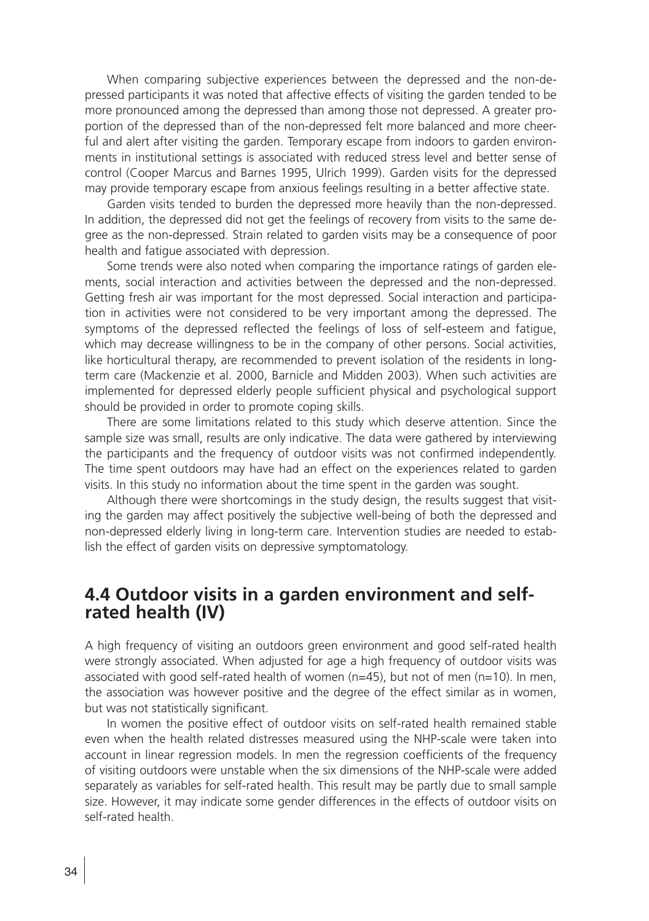When comparing subjective experiences between the depressed and the non-depressed participants it was noted that affective effects of visiting the garden tended to be more pronounced among the depressed than among those not depressed. A greater proportion of the depressed than of the non-depressed felt more balanced and more cheerful and alert after visiting the garden. Temporary escape from indoors to garden environments in institutional settings is associated with reduced stress level and better sense of control (Cooper Marcus and Barnes 1995, Ulrich 1999). Garden visits for the depressed may provide temporary escape from anxious feelings resulting in a better affective state.

Garden visits tended to burden the depressed more heavily than the non-depressed. In addition, the depressed did not get the feelings of recovery from visits to the same degree as the non-depressed. Strain related to garden visits may be a consequence of poor health and fatigue associated with depression.

Some trends were also noted when comparing the importance ratings of garden elements, social interaction and activities between the depressed and the non-depressed. Getting fresh air was important for the most depressed. Social interaction and participation in activities were not considered to be very important among the depressed. The symptoms of the depressed reflected the feelings of loss of self-esteem and fatigue, which may decrease willingness to be in the company of other persons. Social activities, like horticultural therapy, are recommended to prevent isolation of the residents in longterm care (Mackenzie et al. 2000, Barnicle and Midden 2003). When such activities are implemented for depressed elderly people sufficient physical and psychological support should be provided in order to promote coping skills.

There are some limitations related to this study which deserve attention. Since the sample size was small, results are only indicative. The data were gathered by interviewing the participants and the frequency of outdoor visits was not confirmed independently. The time spent outdoors may have had an effect on the experiences related to garden visits. In this study no information about the time spent in the garden was sought.

Although there were shortcomings in the study design, the results suggest that visiting the garden may affect positively the subjective well-being of both the depressed and non-depressed elderly living in long-term care. Intervention studies are needed to establish the effect of garden visits on depressive symptomatology.

### **4.4 Outdoor visits in a garden environment and selfrated health (IV)**

A high frequency of visiting an outdoors green environment and good self-rated health were strongly associated. When adjusted for age a high frequency of outdoor visits was associated with good self-rated health of women ( $n=45$ ), but not of men ( $n=10$ ). In men, the association was however positive and the degree of the effect similar as in women, but was not statistically significant.

In women the positive effect of outdoor visits on self-rated health remained stable even when the health related distresses measured using the NHP-scale were taken into account in linear regression models. In men the regression coefficients of the frequency of visiting outdoors were unstable when the six dimensions of the NHP-scale were added separately as variables for self-rated health. This result may be partly due to small sample size. However, it may indicate some gender differences in the effects of outdoor visits on self-rated health.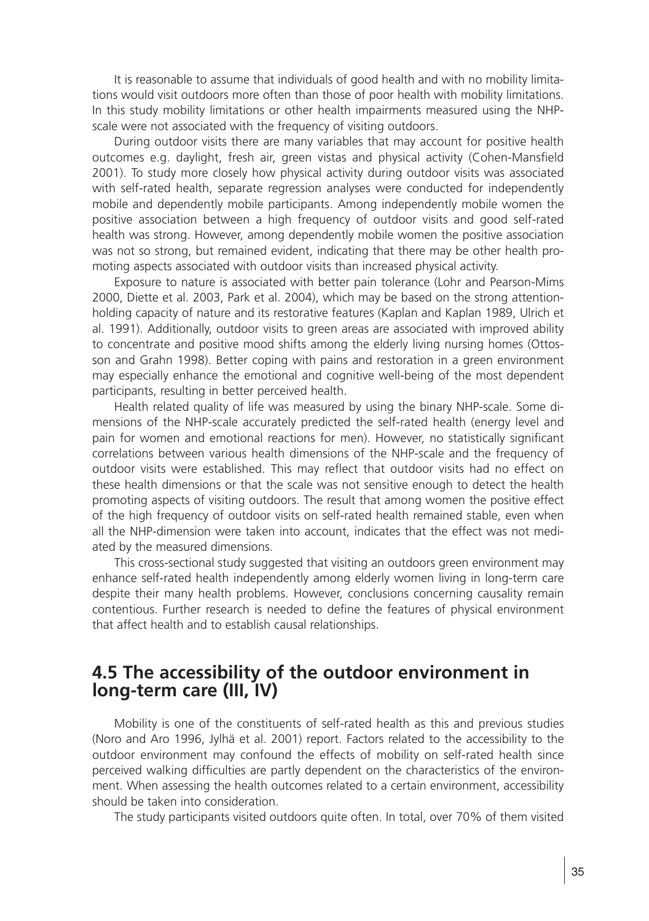It is reasonable to assume that individuals of good health and with no mobility limitations would visit outdoors more often than those of poor health with mobility limitations. In this study mobility limitations or other health impairments measured using the NHPscale were not associated with the frequency of visiting outdoors.

During outdoor visits there are many variables that may account for positive health outcomes e.g. daylight, fresh air, green vistas and physical activity (Cohen-Mansfield 2001). To study more closely how physical activity during outdoor visits was associated with self-rated health, separate regression analyses were conducted for independently mobile and dependently mobile participants. Among independently mobile women the positive association between a high frequency of outdoor visits and good self-rated health was strong. However, among dependently mobile women the positive association was not so strong, but remained evident, indicating that there may be other health promoting aspects associated with outdoor visits than increased physical activity.

Exposure to nature is associated with better pain tolerance (Lohr and Pearson-Mims 2000, Diette et al. 2003, Park et al. 2004), which may be based on the strong attentionholding capacity of nature and its restorative features (Kaplan and Kaplan 1989, Ulrich et al. 1991). Additionally, outdoor visits to green areas are associated with improved ability to concentrate and positive mood shifts among the elderly living nursing homes (Ottosson and Grahn 1998). Better coping with pains and restoration in a green environment may especially enhance the emotional and cognitive well-being of the most dependent participants, resulting in better perceived health.

Health related quality of life was measured by using the binary NHP-scale. Some dimensions of the NHP-scale accurately predicted the self-rated health (energy level and pain for women and emotional reactions for men). However, no statistically significant correlations between various health dimensions of the NHP-scale and the frequency of outdoor visits were established. This may reflect that outdoor visits had no effect on these health dimensions or that the scale was not sensitive enough to detect the health promoting aspects of visiting outdoors. The result that among women the positive effect of the high frequency of outdoor visits on self-rated health remained stable, even when all the NHP-dimension were taken into account, indicates that the effect was not mediated by the measured dimensions.

This cross-sectional study suggested that visiting an outdoors green environment may enhance self-rated health independently among elderly women living in long-term care despite their many health problems. However, conclusions concerning causality remain contentious. Further research is needed to define the features of physical environment that affect health and to establish causal relationships.

## **4.5 The accessibility of the outdoor environment in long-term care (III, IV)**

Mobility is one of the constituents of self-rated health as this and previous studies (Noro and Aro 1996, Jylhä et al. 2001) report. Factors related to the accessibility to the outdoor environment may confound the effects of mobility on self-rated health since perceived walking difficulties are partly dependent on the characteristics of the environment. When assessing the health outcomes related to a certain environment, accessibility should be taken into consideration.

The study participants visited outdoors quite often. In total, over 70% of them visited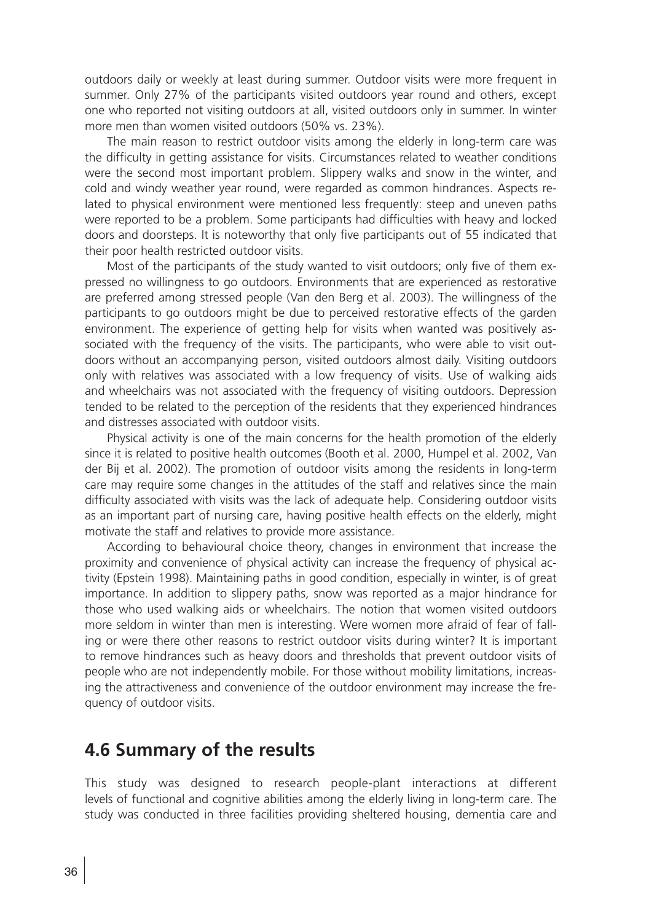outdoors daily or weekly at least during summer. Outdoor visits were more frequent in summer. Only 27% of the participants visited outdoors year round and others, except one who reported not visiting outdoors at all, visited outdoors only in summer. In winter more men than women visited outdoors (50% vs. 23%).

The main reason to restrict outdoor visits among the elderly in long-term care was the difficulty in getting assistance for visits. Circumstances related to weather conditions were the second most important problem. Slippery walks and snow in the winter, and cold and windy weather year round, were regarded as common hindrances. Aspects related to physical environment were mentioned less frequently: steep and uneven paths were reported to be a problem. Some participants had difficulties with heavy and locked doors and doorsteps. It is noteworthy that only five participants out of 55 indicated that their poor health restricted outdoor visits.

Most of the participants of the study wanted to visit outdoors; only five of them expressed no willingness to go outdoors. Environments that are experienced as restorative are preferred among stressed people (Van den Berg et al. 2003). The willingness of the participants to go outdoors might be due to perceived restorative effects of the garden environment. The experience of getting help for visits when wanted was positively associated with the frequency of the visits. The participants, who were able to visit outdoors without an accompanying person, visited outdoors almost daily. Visiting outdoors only with relatives was associated with a low frequency of visits. Use of walking aids and wheelchairs was not associated with the frequency of visiting outdoors. Depression tended to be related to the perception of the residents that they experienced hindrances and distresses associated with outdoor visits.

Physical activity is one of the main concerns for the health promotion of the elderly since it is related to positive health outcomes (Booth et al. 2000, Humpel et al. 2002, Van der Bij et al. 2002). The promotion of outdoor visits among the residents in long-term care may require some changes in the attitudes of the staff and relatives since the main difficulty associated with visits was the lack of adequate help. Considering outdoor visits as an important part of nursing care, having positive health effects on the elderly, might motivate the staff and relatives to provide more assistance.

According to behavioural choice theory, changes in environment that increase the proximity and convenience of physical activity can increase the frequency of physical activity (Epstein 1998). Maintaining paths in good condition, especially in winter, is of great importance. In addition to slippery paths, snow was reported as a major hindrance for those who used walking aids or wheelchairs. The notion that women visited outdoors more seldom in winter than men is interesting. Were women more afraid of fear of falling or were there other reasons to restrict outdoor visits during winter? It is important to remove hindrances such as heavy doors and thresholds that prevent outdoor visits of people who are not independently mobile. For those without mobility limitations, increasing the attractiveness and convenience of the outdoor environment may increase the frequency of outdoor visits.

## **4.6 Summary of the results**

This study was designed to research people-plant interactions at different levels of functional and cognitive abilities among the elderly living in long-term care. The study was conducted in three facilities providing sheltered housing, dementia care and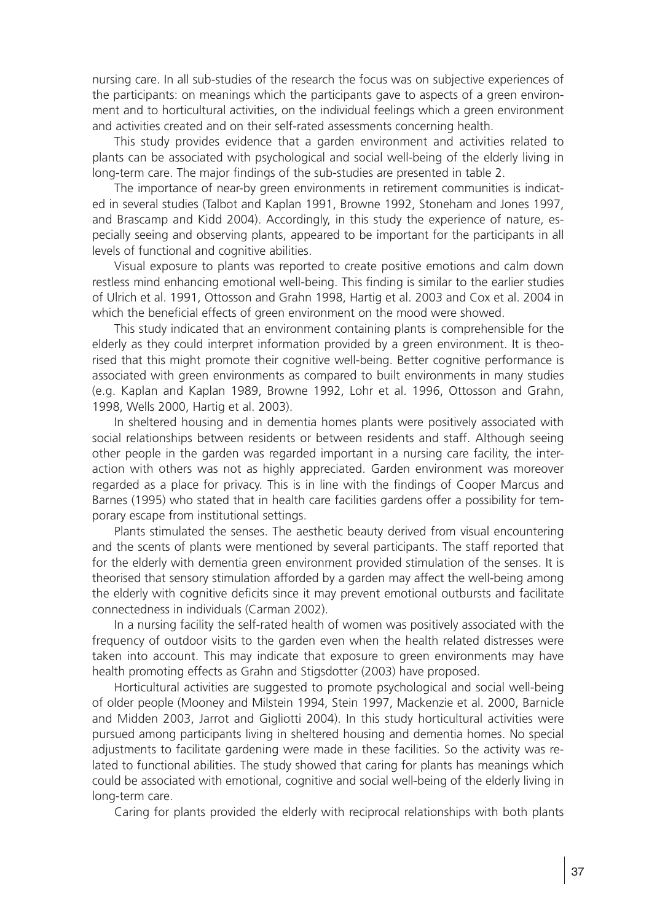nursing care. In all sub-studies of the research the focus was on subjective experiences of the participants: on meanings which the participants gave to aspects of a green environment and to horticultural activities, on the individual feelings which a green environment and activities created and on their self-rated assessments concerning health.

This study provides evidence that a garden environment and activities related to plants can be associated with psychological and social well-being of the elderly living in long-term care. The major findings of the sub-studies are presented in table 2.

The importance of near-by green environments in retirement communities is indicated in several studies (Talbot and Kaplan 1991, Browne 1992, Stoneham and Jones 1997, and Brascamp and Kidd 2004). Accordingly, in this study the experience of nature, especially seeing and observing plants, appeared to be important for the participants in all levels of functional and cognitive abilities.

Visual exposure to plants was reported to create positive emotions and calm down restless mind enhancing emotional well-being. This finding is similar to the earlier studies of Ulrich et al. 1991, Ottosson and Grahn 1998, Hartig et al. 2003 and Cox et al. 2004 in which the beneficial effects of green environment on the mood were showed.

This study indicated that an environment containing plants is comprehensible for the elderly as they could interpret information provided by a green environment. It is theorised that this might promote their cognitive well-being. Better cognitive performance is associated with green environments as compared to built environments in many studies (e.g. Kaplan and Kaplan 1989, Browne 1992, Lohr et al. 1996, Ottosson and Grahn, 1998, Wells 2000, Hartig et al. 2003).

In sheltered housing and in dementia homes plants were positively associated with social relationships between residents or between residents and staff. Although seeing other people in the garden was regarded important in a nursing care facility, the interaction with others was not as highly appreciated. Garden environment was moreover regarded as a place for privacy. This is in line with the findings of Cooper Marcus and Barnes (1995) who stated that in health care facilities gardens offer a possibility for temporary escape from institutional settings.

Plants stimulated the senses. The aesthetic beauty derived from visual encountering and the scents of plants were mentioned by several participants. The staff reported that for the elderly with dementia green environment provided stimulation of the senses. It is theorised that sensory stimulation afforded by a garden may affect the well-being among the elderly with cognitive deficits since it may prevent emotional outbursts and facilitate connectedness in individuals (Carman 2002).

In a nursing facility the self-rated health of women was positively associated with the frequency of outdoor visits to the garden even when the health related distresses were taken into account. This may indicate that exposure to green environments may have health promoting effects as Grahn and Stigsdotter (2003) have proposed.

Horticultural activities are suggested to promote psychological and social well-being of older people (Mooney and Milstein 1994, Stein 1997, Mackenzie et al. 2000, Barnicle and Midden 2003, Jarrot and Gigliotti 2004). In this study horticultural activities were pursued among participants living in sheltered housing and dementia homes. No special adjustments to facilitate gardening were made in these facilities. So the activity was related to functional abilities. The study showed that caring for plants has meanings which could be associated with emotional, cognitive and social well-being of the elderly living in long-term care.

Caring for plants provided the elderly with reciprocal relationships with both plants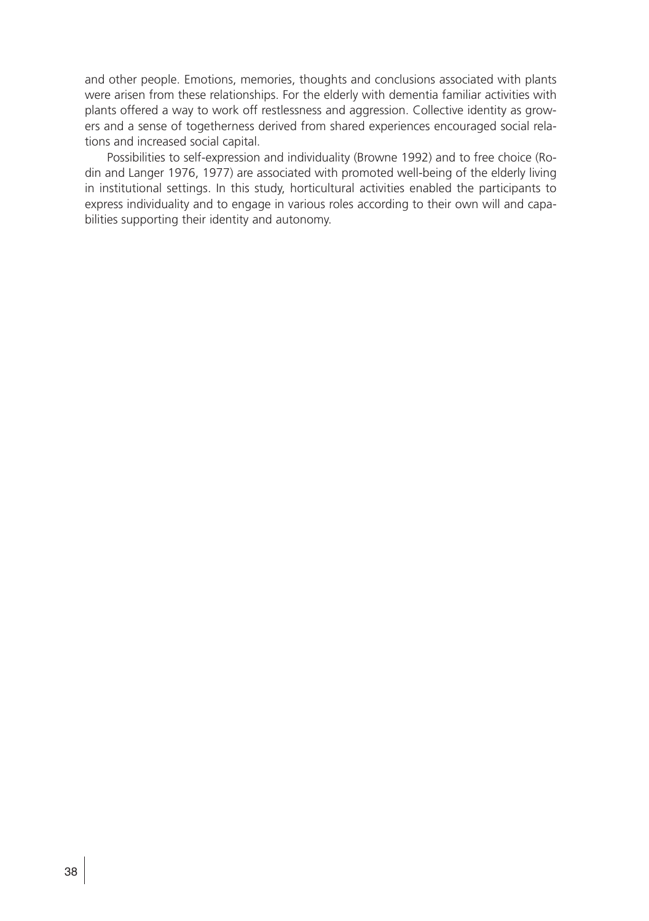and other people. Emotions, memories, thoughts and conclusions associated with plants were arisen from these relationships. For the elderly with dementia familiar activities with plants offered a way to work off restlessness and aggression. Collective identity as growers and a sense of togetherness derived from shared experiences encouraged social relations and increased social capital.

Possibilities to self-expression and individuality (Browne 1992) and to free choice (Rodin and Langer 1976, 1977) are associated with promoted well-being of the elderly living in institutional settings. In this study, horticultural activities enabled the participants to express individuality and to engage in various roles according to their own will and capabilities supporting their identity and autonomy.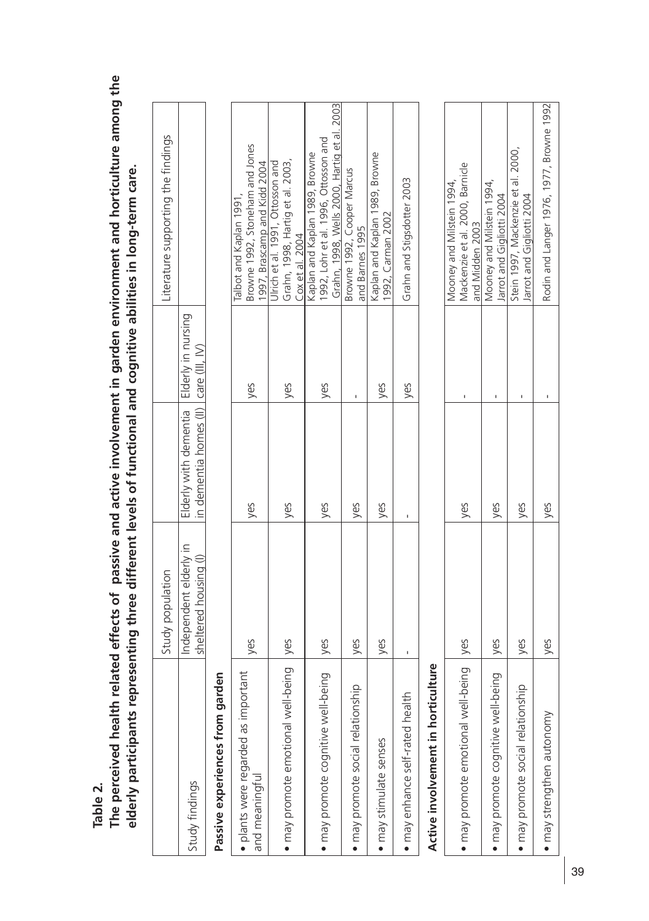**Table 2.** 

**The perceived health related effects of passive and active involvement in garden environment and horticulture among the**  The perceived health related effects of passive and active involvement in garden environment and horticulture among the elderly participants representing three different levels of functional and cognitive abilities in long-term care. **elderly participants representing three different levels of functional and cognitive abilities in long-term care.**

|                       | ļ<br>I<br>i<br>İ<br>5<br>5<br>7<br>ι                                                                                                                                                                                     |                                                                                                                                         |                                                               | ۱<br>آ<br>ו<br>ל<br>S<br>ī<br>ļ<br>i<br>¢<br>2<br>5<br>1<br>ı<br>Ì<br>Ï |
|-----------------------|--------------------------------------------------------------------------------------------------------------------------------------------------------------------------------------------------------------------------|-----------------------------------------------------------------------------------------------------------------------------------------|---------------------------------------------------------------|-------------------------------------------------------------------------|
| i<br>ļ<br>ī<br>ç<br>j | $\overline{\mathbf{z}}$<br>$\overline{a}$<br>ここくて<br>Ì<br>l<br>ç<br>$\mathbf$<br>Ó<br>ļ<br>l<br>י<br>י<br>ς<br>l<br>)<br>j<br>l<br>$\zeta$<br>ļ<br>.<br>د م<br>J<br>l<br>c<br>S<br>l<br>$\frac{1}{2}$<br>5<br>5<br>ׇ֦֚֘֝ | i<br>.<br>המתמ<br><u>ק</u> המה המ<br>l<br>J<br>l<br>l<br>$-1$<br>J<br>issississi<br>l<br>i<br>C<br>l<br>j<br>l<br>;<br>]<br>!<br>J<br>l | ζ<br>Ş<br>١<br>s<br>c<br>j<br>č<br>ī<br>j<br>1<br>i<br>j<br>I |                                                                         |

## **Passive experiences from garden**  Passive experiences from garden

| · plants were regarded as important |     |     |     | Talbot and Kaplan 1991,                     |
|-------------------------------------|-----|-----|-----|---------------------------------------------|
| and meaningful                      | yes | yes | yes | Browne 1992, Stoneham and Jones             |
|                                     |     |     |     | 1997, Brascamp and Kidd 2004                |
|                                     |     |     |     | Ulrich et al. 1991, Ottosson and            |
| · may promote emotional well-being  | yes | yes | yes | Grahn, 1998, Hartig et al. 2003,            |
|                                     |     |     |     | Cox et al. 2004                             |
|                                     |     |     |     | Kaplan and Kaplan 1989, Browne              |
| · may promote cognitive well-being  | yes | yes | yes | 1992, Lohr et al. 1996, Ottosson and        |
|                                     |     |     |     | Grahn, 1998, Wells 2000, Hartig et al. 2003 |
|                                     |     |     |     | Browne 1992, Cooper Marcus                  |
| · may promote social relationship   | yes | yes |     | and Barnes 1995                             |
| · may stimulate senses              |     |     |     | Kaplan and Kaplan 1989, Browne              |
|                                     | yes | yes | yes | 1992, Carman 2002                           |
| · may enhance self-rated health     |     |     | yes | Grahn and Stigsdotter 2003                  |
|                                     |     |     |     |                                             |
|                                     |     |     |     |                                             |

# Active involvement in horticulture **Active involvement in horticulture**

|                                          |      |     | Mooney and Milstein 1994,                |
|------------------------------------------|------|-----|------------------------------------------|
| . may promote emotional well-being   yes |      | yes | Mackenzie et al. 2000, Barnicle          |
|                                          |      |     | and Midden 2003                          |
|                                          |      |     | Mooney and Milstein 1994,                |
| · may promote cognitive well-being       | lyes | yes | larrot and Gigliotti 2004                |
|                                          |      |     | Stein 1997, Mackenzie et al. 2000,       |
| · may promote social relationship        | yes  | ves | larrot and Gigliotti 2004                |
| $\bullet$ may strengthen autonomy        | yes  | yes | Rodin and Langer 1976, 1977, Browne 1992 |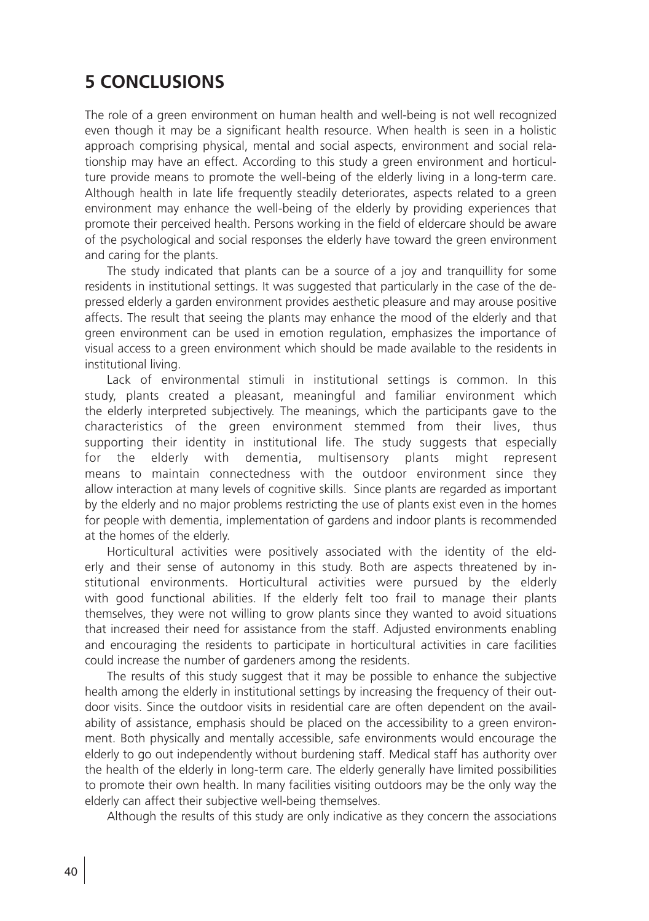## **5 CONCLUSIONS**

The role of a green environment on human health and well-being is not well recognized even though it may be a significant health resource. When health is seen in a holistic approach comprising physical, mental and social aspects, environment and social relationship may have an effect. According to this study a green environment and horticulture provide means to promote the well-being of the elderly living in a long-term care. Although health in late life frequently steadily deteriorates, aspects related to a green environment may enhance the well-being of the elderly by providing experiences that promote their perceived health. Persons working in the field of eldercare should be aware of the psychological and social responses the elderly have toward the green environment and caring for the plants.

The study indicated that plants can be a source of a joy and tranquillity for some residents in institutional settings. It was suggested that particularly in the case of the depressed elderly a garden environment provides aesthetic pleasure and may arouse positive affects. The result that seeing the plants may enhance the mood of the elderly and that green environment can be used in emotion regulation, emphasizes the importance of visual access to a green environment which should be made available to the residents in institutional living.

Lack of environmental stimuli in institutional settings is common. In this study, plants created a pleasant, meaningful and familiar environment which the elderly interpreted subjectively. The meanings, which the participants gave to the characteristics of the green environment stemmed from their lives, thus supporting their identity in institutional life. The study suggests that especially for the elderly with dementia, multisensory plants might represent means to maintain connectedness with the outdoor environment since they allow interaction at many levels of cognitive skills. Since plants are regarded as important by the elderly and no major problems restricting the use of plants exist even in the homes for people with dementia, implementation of gardens and indoor plants is recommended at the homes of the elderly.

Horticultural activities were positively associated with the identity of the elderly and their sense of autonomy in this study. Both are aspects threatened by institutional environments. Horticultural activities were pursued by the elderly with good functional abilities. If the elderly felt too frail to manage their plants themselves, they were not willing to grow plants since they wanted to avoid situations that increased their need for assistance from the staff. Adjusted environments enabling and encouraging the residents to participate in horticultural activities in care facilities could increase the number of gardeners among the residents.

The results of this study suggest that it may be possible to enhance the subjective health among the elderly in institutional settings by increasing the frequency of their outdoor visits. Since the outdoor visits in residential care are often dependent on the availability of assistance, emphasis should be placed on the accessibility to a green environment. Both physically and mentally accessible, safe environments would encourage the elderly to go out independently without burdening staff. Medical staff has authority over the health of the elderly in long-term care. The elderly generally have limited possibilities to promote their own health. In many facilities visiting outdoors may be the only way the elderly can affect their subjective well-being themselves.

Although the results of this study are only indicative as they concern the associations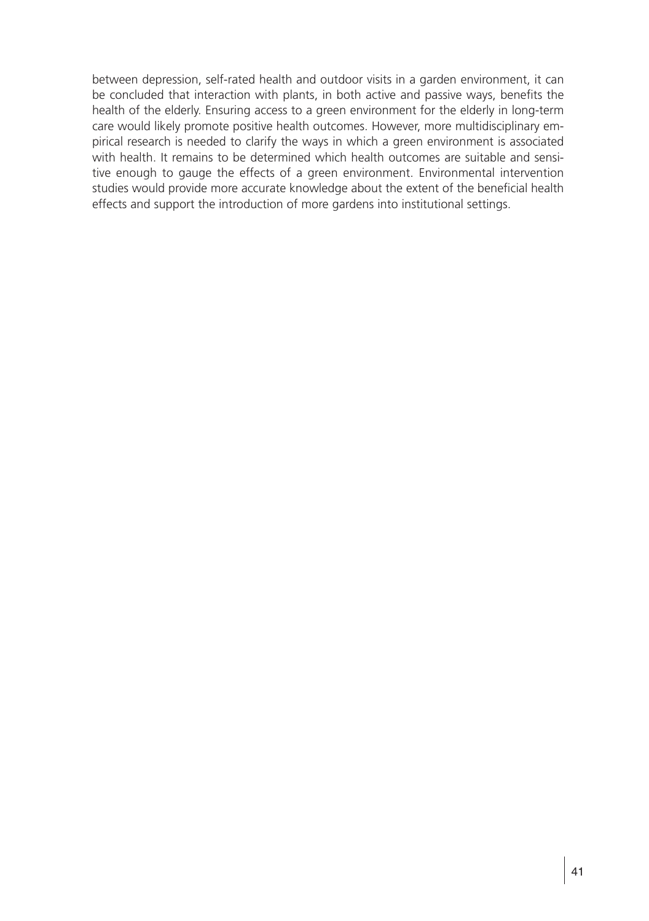between depression, self-rated health and outdoor visits in a garden environment, it can be concluded that interaction with plants, in both active and passive ways, benefits the health of the elderly. Ensuring access to a green environment for the elderly in long-term care would likely promote positive health outcomes. However, more multidisciplinary empirical research is needed to clarify the ways in which a green environment is associated with health. It remains to be determined which health outcomes are suitable and sensitive enough to gauge the effects of a green environment. Environmental intervention studies would provide more accurate knowledge about the extent of the beneficial health effects and support the introduction of more gardens into institutional settings.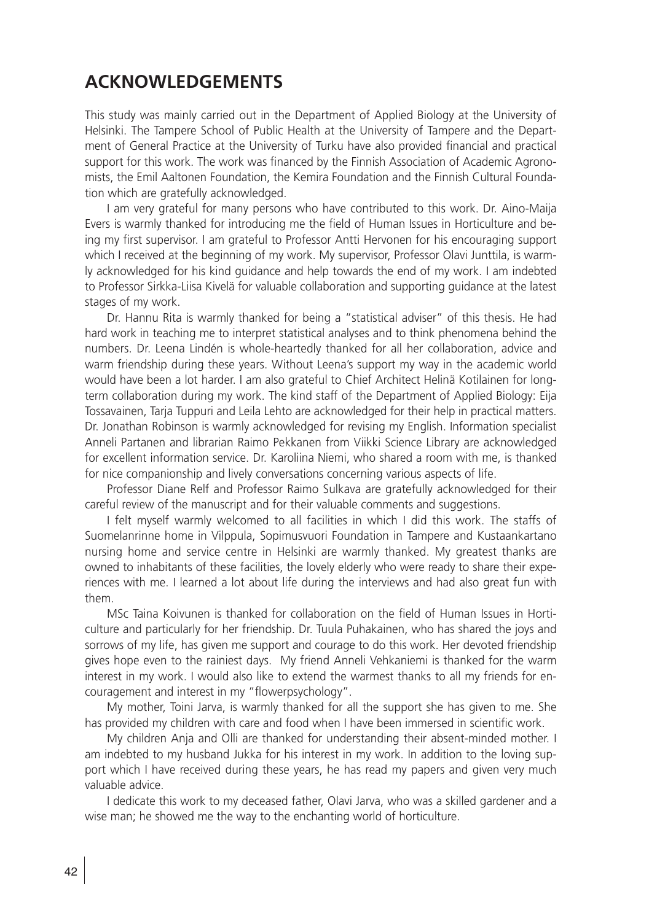## **ACKNOWLEDGEMENTS**

This study was mainly carried out in the Department of Applied Biology at the University of Helsinki. The Tampere School of Public Health at the University of Tampere and the Department of General Practice at the University of Turku have also provided financial and practical support for this work. The work was financed by the Finnish Association of Academic Agronomists, the Emil Aaltonen Foundation, the Kemira Foundation and the Finnish Cultural Foundation which are gratefully acknowledged.

I am very grateful for many persons who have contributed to this work. Dr. Aino-Maija Evers is warmly thanked for introducing me the field of Human Issues in Horticulture and being my first supervisor. I am grateful to Professor Antti Hervonen for his encouraging support which I received at the beginning of my work. My supervisor, Professor Olavi Junttila, is warmly acknowledged for his kind guidance and help towards the end of my work. I am indebted to Professor Sirkka-Liisa Kivelä for valuable collaboration and supporting guidance at the latest stages of my work.

Dr. Hannu Rita is warmly thanked for being a "statistical adviser" of this thesis. He had hard work in teaching me to interpret statistical analyses and to think phenomena behind the numbers. Dr. Leena Lindén is whole-heartedly thanked for all her collaboration, advice and warm friendship during these years. Without Leena's support my way in the academic world would have been a lot harder. I am also grateful to Chief Architect Helinä Kotilainen for longterm collaboration during my work. The kind staff of the Department of Applied Biology: Eija Tossavainen, Tarja Tuppuri and Leila Lehto are acknowledged for their help in practical matters. Dr. Jonathan Robinson is warmly acknowledged for revising my English. Information specialist Anneli Partanen and librarian Raimo Pekkanen from Viikki Science Library are acknowledged for excellent information service. Dr. Karoliina Niemi, who shared a room with me, is thanked for nice companionship and lively conversations concerning various aspects of life.

Professor Diane Relf and Professor Raimo Sulkava are gratefully acknowledged for their careful review of the manuscript and for their valuable comments and suggestions.

I felt myself warmly welcomed to all facilities in which I did this work. The staffs of Suomelanrinne home in Vilppula, Sopimusvuori Foundation in Tampere and Kustaankartano nursing home and service centre in Helsinki are warmly thanked. My greatest thanks are owned to inhabitants of these facilities, the lovely elderly who were ready to share their experiences with me. I learned a lot about life during the interviews and had also great fun with them.

MSc Taina Koivunen is thanked for collaboration on the field of Human Issues in Horticulture and particularly for her friendship. Dr. Tuula Puhakainen, who has shared the joys and sorrows of my life, has given me support and courage to do this work. Her devoted friendship gives hope even to the rainiest days. My friend Anneli Vehkaniemi is thanked for the warm interest in my work. I would also like to extend the warmest thanks to all my friends for encouragement and interest in my "flowerpsychology".

My mother, Toini Jarva, is warmly thanked for all the support she has given to me. She has provided my children with care and food when I have been immersed in scientific work.

My children Anja and Olli are thanked for understanding their absent-minded mother. I am indebted to my husband Jukka for his interest in my work. In addition to the loving support which I have received during these years, he has read my papers and given very much valuable advice.

I dedicate this work to my deceased father, Olavi Jarva, who was a skilled gardener and a wise man; he showed me the way to the enchanting world of horticulture.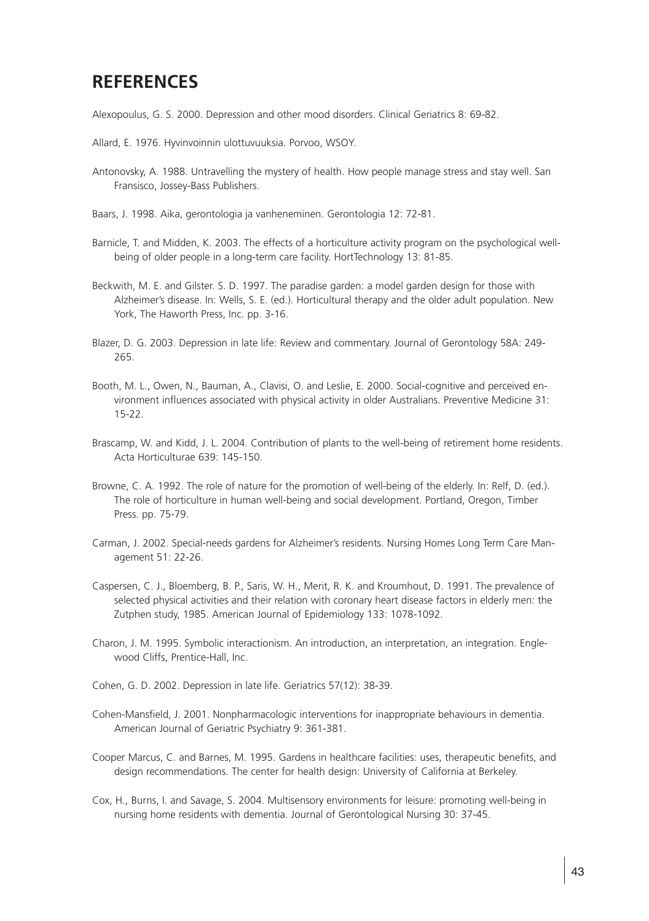## **REFERENCES**

Alexopoulus, G. S. 2000. Depression and other mood disorders. Clinical Geriatrics 8: 69-82.

- Allard, E. 1976. Hyvinvoinnin ulottuvuuksia. Porvoo, WSOY.
- Antonovsky, A. 1988. Untravelling the mystery of health. How people manage stress and stay well. San Fransisco, Jossey-Bass Publishers.
- Baars, J. 1998. Aika, gerontologia ja vanheneminen. Gerontologia 12: 72-81.
- Barnicle, T. and Midden, K. 2003. The effects of a horticulture activity program on the psychological wellbeing of older people in a long-term care facility. HortTechnology 13: 81-85.
- Beckwith, M. E. and Gilster. S. D. 1997. The paradise garden: a model garden design for those with Alzheimer's disease. In: Wells, S. E. (ed.). Horticultural therapy and the older adult population. New York, The Haworth Press, Inc. pp. 3-16.
- Blazer, D. G. 2003. Depression in late life: Review and commentary. Journal of Gerontology 58A: 249- 265.
- Booth, M. L., Owen, N., Bauman, A., Clavisi, O. and Leslie, E. 2000. Social-cognitive and perceived environment influences associated with physical activity in older Australians. Preventive Medicine 31: 15-22.
- Brascamp, W. and Kidd, J. L. 2004. Contribution of plants to the well-being of retirement home residents. Acta Horticulturae 639: 145-150.
- Browne, C. A. 1992. The role of nature for the promotion of well-being of the elderly. In: Relf, D. (ed.). The role of horticulture in human well-being and social development. Portland, Oregon, Timber Press. pp. 75-79.
- Carman, J. 2002. Special-needs gardens for Alzheimer's residents. Nursing Homes Long Term Care Management 51: 22-26.
- Caspersen, C. J., Bloemberg, B. P., Saris, W. H., Merit, R. K. and Kroumhout, D. 1991. The prevalence of selected physical activities and their relation with coronary heart disease factors in elderly men: the Zutphen study, 1985. American Journal of Epidemiology 133: 1078-1092.
- Charon, J. M. 1995. Symbolic interactionism. An introduction, an interpretation, an integration. Englewood Cliffs, Prentice-Hall, Inc.
- Cohen, G. D. 2002. Depression in late life. Geriatrics 57(12): 38-39.
- Cohen-Mansfield, J. 2001. Nonpharmacologic interventions for inappropriate behaviours in dementia. American Journal of Geriatric Psychiatry 9: 361-381.
- Cooper Marcus, C. and Barnes, M. 1995. Gardens in healthcare facilities: uses, therapeutic benefits, and design recommendations. The center for health design: University of California at Berkeley.
- Cox, H., Burns, I. and Savage, S. 2004. Multisensory environments for leisure: promoting well-being in nursing home residents with dementia. Journal of Gerontological Nursing 30: 37-45.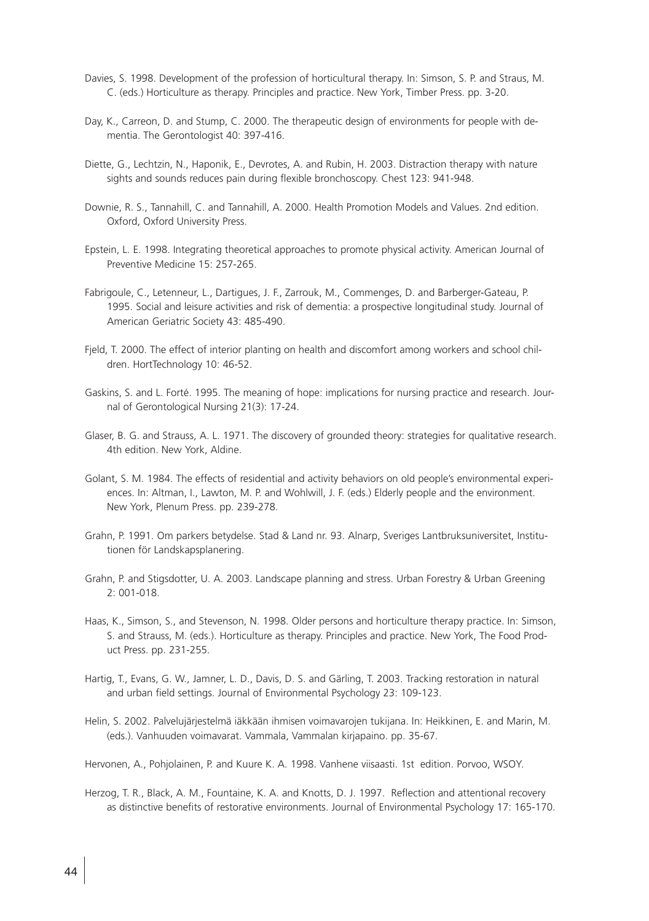- Davies, S. 1998. Development of the profession of horticultural therapy. In: Simson, S. P. and Straus, M. C. (eds.) Horticulture as therapy. Principles and practice. New York, Timber Press. pp. 3-20.
- Day, K., Carreon, D. and Stump, C. 2000. The therapeutic design of environments for people with dementia. The Gerontologist 40: 397-416.
- Diette, G., Lechtzin, N., Haponik, E., Devrotes, A. and Rubin, H. 2003. Distraction therapy with nature sights and sounds reduces pain during flexible bronchoscopy. Chest 123: 941-948.
- Downie, R. S., Tannahill, C. and Tannahill, A. 2000. Health Promotion Models and Values. 2nd edition. Oxford, Oxford University Press.
- Epstein, L. E. 1998. Integrating theoretical approaches to promote physical activity. American Journal of Preventive Medicine 15: 257-265.
- Fabrigoule, C., Letenneur, L., Dartigues, J. F., Zarrouk, M., Commenges, D. and Barberger-Gateau, P. 1995. Social and leisure activities and risk of dementia: a prospective longitudinal study. Journal of American Geriatric Society 43: 485-490.
- Fjeld, T. 2000. The effect of interior planting on health and discomfort among workers and school children. HortTechnology 10: 46-52.
- Gaskins, S. and L. Forté. 1995. The meaning of hope: implications for nursing practice and research. Journal of Gerontological Nursing 21(3): 17-24.
- Glaser, B. G. and Strauss, A. L. 1971. The discovery of grounded theory: strategies for qualitative research. 4th edition. New York, Aldine.
- Golant, S. M. 1984. The effects of residential and activity behaviors on old people's environmental experiences. In: Altman, I., Lawton, M. P. and Wohlwill, J. F. (eds.) Elderly people and the environment. New York, Plenum Press. pp. 239-278.
- Grahn, P. 1991. Om parkers betydelse. Stad & Land nr. 93. Alnarp, Sveriges Lantbruksuniversitet, Institutionen för Landskapsplanering.
- Grahn, P. and Stigsdotter, U. A. 2003. Landscape planning and stress. Urban Forestry & Urban Greening 2: 001-018.
- Haas, K., Simson, S., and Stevenson, N. 1998. Older persons and horticulture therapy practice. In: Simson, S. and Strauss, M. (eds.). Horticulture as therapy. Principles and practice. New York, The Food Product Press. pp. 231-255.
- Hartig, T., Evans, G. W., Jamner, L. D., Davis, D. S. and Gärling, T. 2003. Tracking restoration in natural and urban field settings. Journal of Environmental Psychology 23: 109-123.
- Helin, S. 2002. Palvelujärjestelmä iäkkään ihmisen voimavarojen tukijana. In: Heikkinen, E. and Marin, M. (eds.). Vanhuuden voimavarat. Vammala, Vammalan kirjapaino. pp. 35-67.
- Hervonen, A., Pohjolainen, P. and Kuure K. A. 1998. Vanhene viisaasti. 1st edition. Porvoo, WSOY.
- Herzog, T. R., Black, A. M., Fountaine, K. A. and Knotts, D. J. 1997. Reflection and attentional recovery as distinctive benefits of restorative environments. Journal of Environmental Psychology 17: 165-170.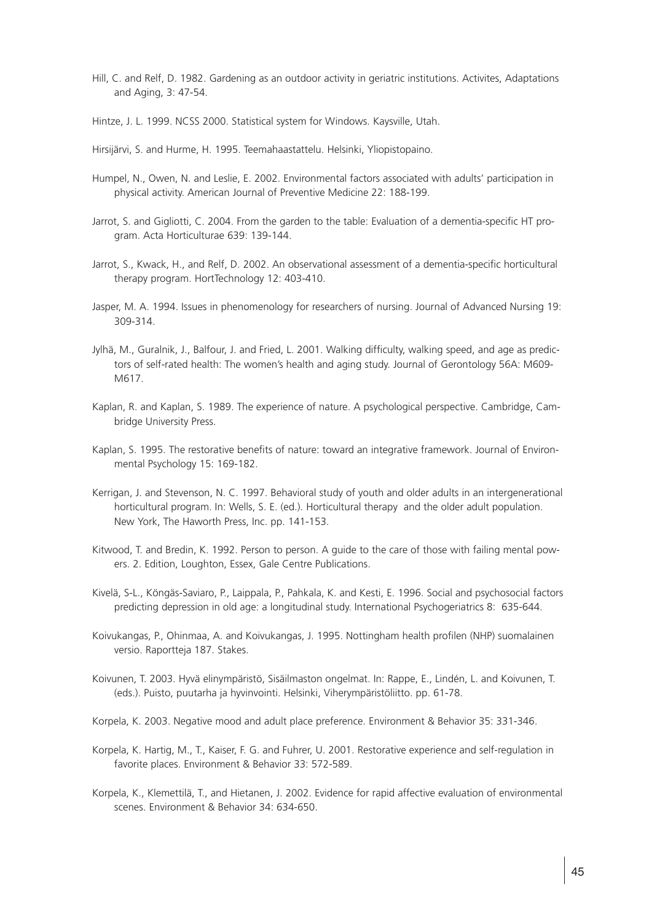Hill, C. and Relf, D. 1982. Gardening as an outdoor activity in geriatric institutions. Activites, Adaptations and Aging, 3: 47-54.

Hintze, J. L. 1999. NCSS 2000. Statistical system for Windows. Kaysville, Utah.

Hirsijärvi, S. and Hurme, H. 1995. Teemahaastattelu. Helsinki, Yliopistopaino.

- Humpel, N., Owen, N. and Leslie, E. 2002. Environmental factors associated with adults' participation in physical activity. American Journal of Preventive Medicine 22: 188-199.
- Jarrot, S. and Gigliotti, C. 2004. From the garden to the table: Evaluation of a dementia-specific HT program. Acta Horticulturae 639: 139-144.
- Jarrot, S., Kwack, H., and Relf, D. 2002. An observational assessment of a dementia-specific horticultural therapy program. HortTechnology 12: 403-410.
- Jasper, M. A. 1994. Issues in phenomenology for researchers of nursing. Journal of Advanced Nursing 19: 309-314.
- Jylhä, M., Guralnik, J., Balfour, J. and Fried, L. 2001. Walking difficulty, walking speed, and age as predictors of self-rated health: The women's health and aging study. Journal of Gerontology 56A: M609- M617.
- Kaplan, R. and Kaplan, S. 1989. The experience of nature. A psychological perspective. Cambridge, Cambridge University Press.
- Kaplan, S. 1995. The restorative benefits of nature: toward an integrative framework. Journal of Environmental Psychology 15: 169-182.
- Kerrigan, J. and Stevenson, N. C. 1997. Behavioral study of youth and older adults in an intergenerational horticultural program. In: Wells, S. E. (ed.). Horticultural therapy and the older adult population. New York, The Haworth Press, Inc. pp. 141-153.
- Kitwood, T. and Bredin, K. 1992. Person to person. A guide to the care of those with failing mental powers. 2. Edition, Loughton, Essex, Gale Centre Publications.
- Kivelä, S-L., Köngäs-Saviaro, P., Laippala, P., Pahkala, K. and Kesti, E. 1996. Social and psychosocial factors predicting depression in old age: a longitudinal study. International Psychogeriatrics 8: 635-644.
- Koivukangas, P., Ohinmaa, A. and Koivukangas, J. 1995. Nottingham health profilen (NHP) suomalainen versio. Raportteja 187. Stakes.
- Koivunen, T. 2003. Hyvä elinympäristö, Sisäilmaston ongelmat. In: Rappe, E., Lindén, L. and Koivunen, T. (eds.). Puisto, puutarha ja hyvinvointi. Helsinki, Viherympäristöliitto. pp. 61-78.
- Korpela, K. 2003. Negative mood and adult place preference. Environment & Behavior 35: 331-346.
- Korpela, K. Hartig, M., T., Kaiser, F. G. and Fuhrer, U. 2001. Restorative experience and self-regulation in favorite places. Environment & Behavior 33: 572-589.
- Korpela, K., Klemettilä, T., and Hietanen, J. 2002. Evidence for rapid affective evaluation of environmental scenes. Environment & Behavior 34: 634-650.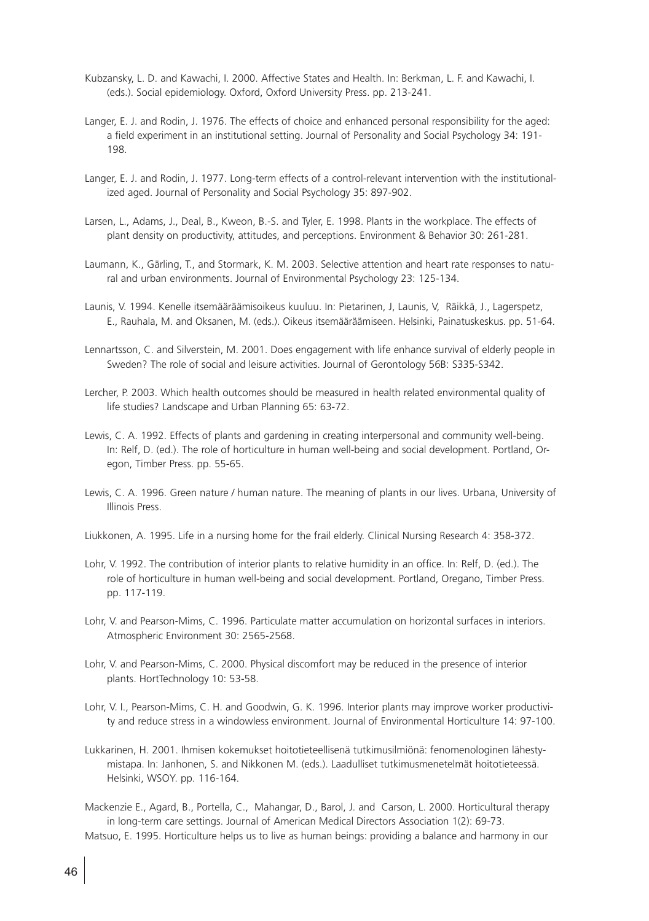- Kubzansky, L. D. and Kawachi, I. 2000. Affective States and Health. In: Berkman, L. F. and Kawachi, I. (eds.). Social epidemiology. Oxford, Oxford University Press. pp. 213-241.
- Langer, E. J. and Rodin, J. 1976. The effects of choice and enhanced personal responsibility for the aged: a field experiment in an institutional setting. Journal of Personality and Social Psychology 34: 191-198.
- Langer, E. J. and Rodin, J. 1977. Long-term effects of a control-relevant intervention with the institutionalized aged. Journal of Personality and Social Psychology 35: 897-902.
- Larsen, L., Adams, J., Deal, B., Kweon, B.-S. and Tyler, E. 1998. Plants in the workplace. The effects of plant density on productivity, attitudes, and perceptions. Environment & Behavior 30: 261-281.
- Laumann, K., Gärling, T., and Stormark, K. M. 2003. Selective attention and heart rate responses to natural and urban environments. Journal of Environmental Psychology 23: 125-134.
- Launis, V. 1994. Kenelle itsemääräämisoikeus kuuluu. In: Pietarinen, J, Launis, V, Räikkä, J., Lagerspetz, E., Rauhala, M. and Oksanen, M. (eds.). Oikeus itsemääräämiseen. Helsinki, Painatuskeskus. pp. 51-64.
- Lennartsson, C. and Silverstein, M. 2001. Does engagement with life enhance survival of elderly people in Sweden? The role of social and leisure activities. Journal of Gerontology 56B: S335-S342.
- Lercher, P. 2003. Which health outcomes should be measured in health related environmental quality of life studies? Landscape and Urban Planning 65: 63-72.
- Lewis, C. A. 1992. Effects of plants and gardening in creating interpersonal and community well-being. In: Relf, D. (ed.). The role of horticulture in human well-being and social development. Portland, Oregon, Timber Press. pp. 55-65.
- Lewis, C. A. 1996. Green nature / human nature. The meaning of plants in our lives. Urbana, University of Illinois Press.
- Liukkonen, A. 1995. Life in a nursing home for the frail elderly. Clinical Nursing Research 4: 358-372.
- Lohr, V. 1992. The contribution of interior plants to relative humidity in an office. In: Relf, D. (ed.). The role of horticulture in human well-being and social development. Portland, Oregano, Timber Press. pp. 117-119.
- Lohr, V. and Pearson-Mims, C. 1996. Particulate matter accumulation on horizontal surfaces in interiors. Atmospheric Environment 30: 2565-2568.
- Lohr, V. and Pearson-Mims, C. 2000. Physical discomfort may be reduced in the presence of interior plants. HortTechnology 10: 53-58.
- Lohr, V. I., Pearson-Mims, C. H. and Goodwin, G. K. 1996. Interior plants may improve worker productivity and reduce stress in a windowless environment. Journal of Environmental Horticulture 14: 97-100.
- Lukkarinen, H. 2001. Ihmisen kokemukset hoitotieteellisenä tutkimusilmiönä: fenomenologinen lähestymistapa. In: Janhonen, S. and Nikkonen M. (eds.). Laadulliset tutkimusmenetelmät hoitotieteessä. Helsinki, WSOY. pp. 116-164.
- Mackenzie E., Agard, B., Portella, C., Mahangar, D., Barol, J. and Carson, L. 2000. Horticultural therapy in long-term care settings. Journal of American Medical Directors Association 1(2): 69-73. Matsuo, E. 1995. Horticulture helps us to live as human beings: providing a balance and harmony in our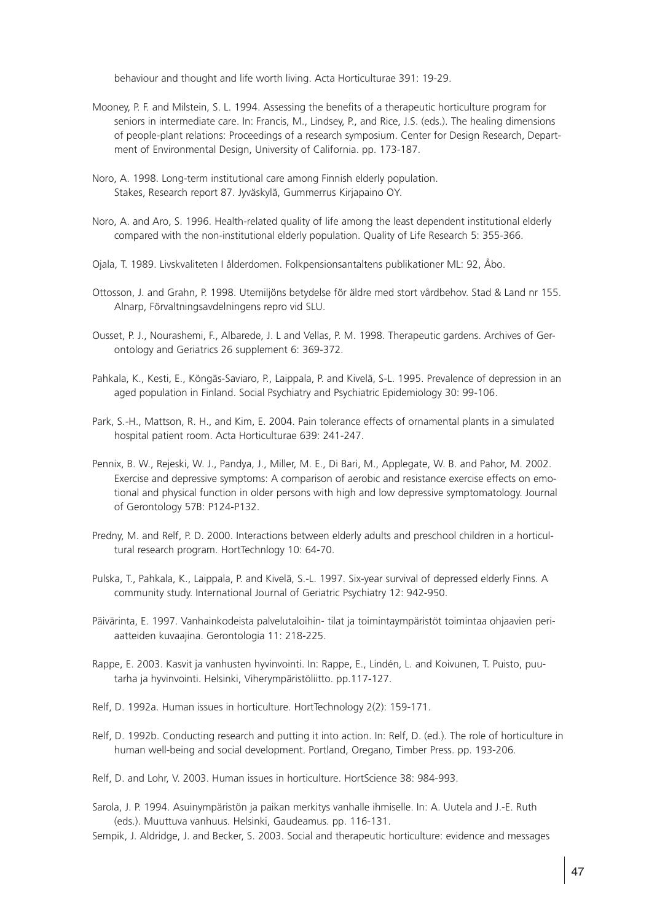behaviour and thought and life worth living. Acta Horticulturae 391: 19-29.

- Mooney, P. F. and Milstein, S. L. 1994. Assessing the benefits of a therapeutic horticulture program for seniors in intermediate care. In: Francis, M., Lindsey, P., and Rice, J.S. (eds.). The healing dimensions of people-plant relations: Proceedings of a research symposium. Center for Design Research, Department of Environmental Design, University of California. pp. 173-187.
- Noro, A. 1998. Long-term institutional care among Finnish elderly population. Stakes, Research report 87. Jyväskylä, Gummerrus Kirjapaino OY.
- Noro, A. and Aro, S. 1996. Health-related quality of life among the least dependent institutional elderly compared with the non-institutional elderly population. Quality of Life Research 5: 355-366.
- Ojala, T. 1989. Livskvaliteten I ålderdomen. Folkpensionsantaltens publikationer ML: 92, Åbo.
- Ottosson, J. and Grahn, P. 1998. Utemiljöns betydelse för äldre med stort vårdbehov. Stad & Land nr 155. Alnarp, Förvaltningsavdelningens repro vid SLU.
- Ousset, P. J., Nourashemi, F., Albarede, J. L and Vellas, P. M. 1998. Therapeutic gardens. Archives of Gerontology and Geriatrics 26 supplement 6: 369-372.
- Pahkala, K., Kesti, E., Köngäs-Saviaro, P., Laippala, P. and Kivelä, S-L. 1995. Prevalence of depression in an aged population in Finland. Social Psychiatry and Psychiatric Epidemiology 30: 99-106.
- Park, S.-H., Mattson, R. H., and Kim, E. 2004. Pain tolerance effects of ornamental plants in a simulated hospital patient room. Acta Horticulturae 639: 241-247.
- Pennix, B. W., Rejeski, W. J., Pandya, J., Miller, M. E., Di Bari, M., Applegate, W. B. and Pahor, M. 2002. Exercise and depressive symptoms: A comparison of aerobic and resistance exercise effects on emotional and physical function in older persons with high and low depressive symptomatology. Journal of Gerontology 57B: P124-P132.
- Predny, M. and Relf, P. D. 2000. Interactions between elderly adults and preschool children in a horticultural research program. HortTechnlogy 10: 64-70.
- Pulska, T., Pahkala, K., Laippala, P. and Kivelä, S.-L. 1997. Six-year survival of depressed elderly Finns. A community study. International Journal of Geriatric Psychiatry 12: 942-950.
- Päivärinta, E. 1997. Vanhainkodeista palvelutaloihin- tilat ja toimintaympäristöt toimintaa ohjaavien periaatteiden kuvaajina. Gerontologia 11: 218-225.
- Rappe, E. 2003. Kasvit ja vanhusten hyvinvointi. In: Rappe, E., Lindén, L. and Koivunen, T. Puisto, puutarha ja hyvinvointi. Helsinki, Viherympäristöliitto. pp.117-127.
- Relf, D. 1992a. Human issues in horticulture. HortTechnology 2(2): 159-171.
- Relf, D. 1992b. Conducting research and putting it into action. In: Relf, D. (ed.). The role of horticulture in human well-being and social development. Portland, Oregano, Timber Press. pp. 193-206.
- Relf, D. and Lohr, V. 2003. Human issues in horticulture. HortScience 38: 984-993.
- Sarola, J. P. 1994. Asuinympäristön ja paikan merkitys vanhalle ihmiselle. In: A. Uutela and J.-E. Ruth (eds.). Muuttuva vanhuus. Helsinki, Gaudeamus. pp. 116-131.
- Sempik, J. Aldridge, J. and Becker, S. 2003. Social and therapeutic horticulture: evidence and messages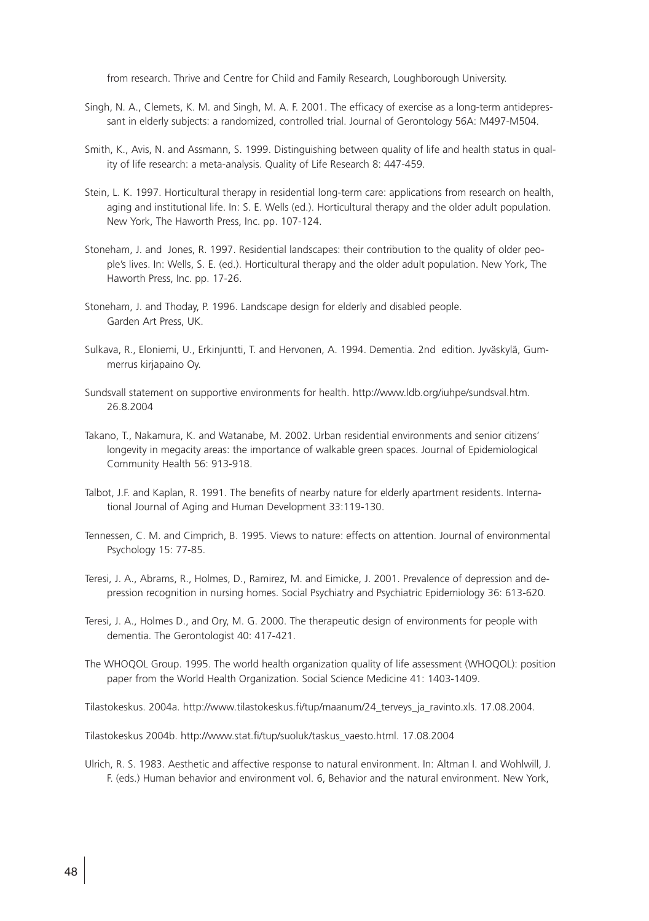from research. Thrive and Centre for Child and Family Research, Loughborough University.

- Singh, N. A., Clemets, K. M. and Singh, M. A. F. 2001. The efficacy of exercise as a long-term antidepressant in elderly subjects: a randomized, controlled trial. Journal of Gerontology 56A: M497-M504.
- Smith, K., Avis, N. and Assmann, S. 1999. Distinguishing between quality of life and health status in quality of life research: a meta-analysis. Quality of Life Research 8: 447-459.
- Stein, L. K. 1997. Horticultural therapy in residential long-term care: applications from research on health, aging and institutional life. In: S. E. Wells (ed.). Horticultural therapy and the older adult population. New York, The Haworth Press, Inc. pp. 107-124.
- Stoneham, J. and Jones, R. 1997. Residential landscapes: their contribution to the quality of older people's lives. In: Wells, S. E. (ed.). Horticultural therapy and the older adult population. New York, The Haworth Press, Inc. pp. 17-26.
- Stoneham, J. and Thoday, P. 1996. Landscape design for elderly and disabled people. Garden Art Press, UK.
- Sulkava, R., Eloniemi, U., Erkinjuntti, T. and Hervonen, A. 1994. Dementia. 2nd edition. Jyväskylä, Gummerrus kirjapaino Oy.
- Sundsvall statement on supportive environments for health. http://www.ldb.org/iuhpe/sundsval.htm. 26.8.2004
- Takano, T., Nakamura, K. and Watanabe, M. 2002. Urban residential environments and senior citizens' longevity in megacity areas: the importance of walkable green spaces. Journal of Epidemiological Community Health 56: 913-918.
- Talbot, J.F. and Kaplan, R. 1991. The benefits of nearby nature for elderly apartment residents. International Journal of Aging and Human Development 33:119-130.
- Tennessen, C. M. and Cimprich, B. 1995. Views to nature: effects on attention. Journal of environmental Psychology 15: 77-85.
- Teresi, J. A., Abrams, R., Holmes, D., Ramirez, M. and Eimicke, J. 2001. Prevalence of depression and depression recognition in nursing homes. Social Psychiatry and Psychiatric Epidemiology 36: 613-620.
- Teresi, J. A., Holmes D., and Ory, M. G. 2000. The therapeutic design of environments for people with dementia. The Gerontologist 40: 417-421.
- The WHOQOL Group. 1995. The world health organization quality of life assessment (WHOQOL): position paper from the World Health Organization. Social Science Medicine 41: 1403-1409.

Tilastokeskus. 2004a. http://www.tilastokeskus.fi/tup/maanum/24\_terveys\_ja\_ravinto.xls. 17.08.2004.

Tilastokeskus 2004b. http://www.stat.fi/tup/suoluk/taskus\_vaesto.html. 17.08.2004

Ulrich, R. S. 1983. Aesthetic and affective response to natural environment. In: Altman I. and Wohlwill, J. F. (eds.) Human behavior and environment vol. 6, Behavior and the natural environment. New York,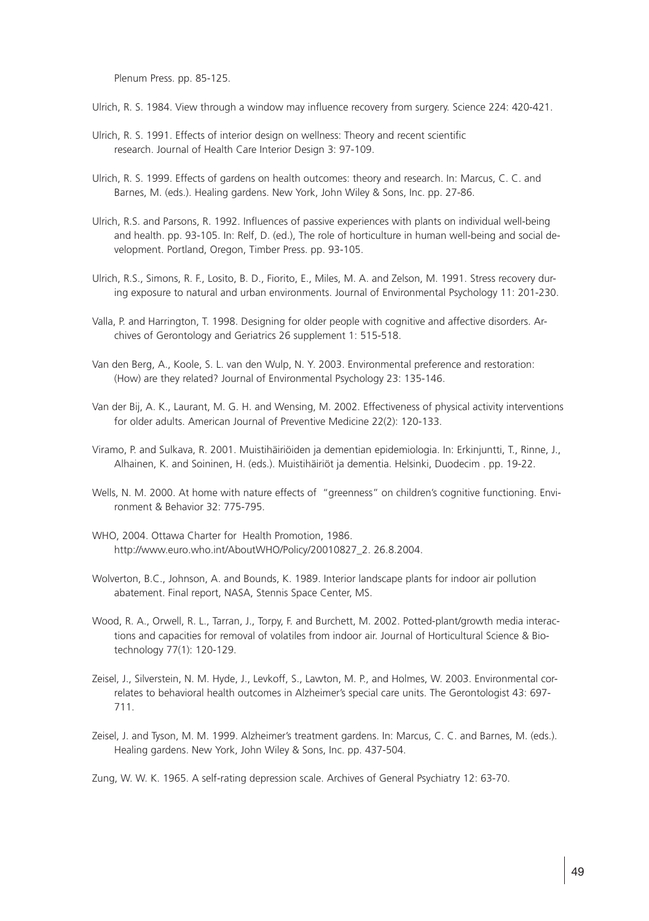Plenum Press. pp. 85-125.

Ulrich, R. S. 1984. View through a window may influence recovery from surgery. Science 224: 420-421.

- Ulrich, R. S. 1991. Effects of interior design on wellness: Theory and recent scientific research. Journal of Health Care Interior Design 3: 97-109.
- Ulrich, R. S. 1999. Effects of gardens on health outcomes: theory and research. In: Marcus, C. C. and Barnes, M. (eds.). Healing gardens. New York, John Wiley & Sons, Inc. pp. 27-86.
- Ulrich, R.S. and Parsons, R. 1992. Influences of passive experiences with plants on individual well-being and health. pp. 93-105. In: Relf, D. (ed.), The role of horticulture in human well-being and social development. Portland, Oregon, Timber Press. pp. 93-105.
- Ulrich, R.S., Simons, R. F., Losito, B. D., Fiorito, E., Miles, M. A. and Zelson, M. 1991. Stress recovery during exposure to natural and urban environments. Journal of Environmental Psychology 11: 201-230.
- Valla, P. and Harrington, T. 1998. Designing for older people with cognitive and affective disorders. Archives of Gerontology and Geriatrics 26 supplement 1: 515-518.
- Van den Berg, A., Koole, S. L. van den Wulp, N. Y. 2003. Environmental preference and restoration: (How) are they related? Journal of Environmental Psychology 23: 135-146.
- Van der Bij, A. K., Laurant, M. G. H. and Wensing, M. 2002. Effectiveness of physical activity interventions for older adults. American Journal of Preventive Medicine 22(2): 120-133.
- Viramo, P. and Sulkava, R. 2001. Muistihäiriöiden ja dementian epidemiologia. In: Erkinjuntti, T., Rinne, J., Alhainen, K. and Soininen, H. (eds.). Muistihäiriöt ja dementia. Helsinki, Duodecim . pp. 19-22.
- Wells, N. M. 2000. At home with nature effects of "greenness" on children's cognitive functioning. Environment & Behavior 32: 775-795.
- WHO, 2004. Ottawa Charter for Health Promotion, 1986. http://www.euro.who.int/AboutWHO/Policy/20010827\_2. 26.8.2004.
- Wolverton, B.C., Johnson, A. and Bounds, K. 1989. Interior landscape plants for indoor air pollution abatement. Final report, NASA, Stennis Space Center, MS.
- Wood, R. A., Orwell, R. L., Tarran, J., Torpy, F. and Burchett, M. 2002. Potted-plant/growth media interactions and capacities for removal of volatiles from indoor air. Journal of Horticultural Science & Biotechnology 77(1): 120-129.
- Zeisel, J., Silverstein, N. M. Hyde, J., Levkoff, S., Lawton, M. P., and Holmes, W. 2003. Environmental correlates to behavioral health outcomes in Alzheimer's special care units. The Gerontologist 43: 697- 711.
- Zeisel, J. and Tyson, M. M. 1999. Alzheimer's treatment gardens. In: Marcus, C. C. and Barnes, M. (eds.). Healing gardens. New York, John Wiley & Sons, Inc. pp. 437-504.

Zung, W. W. K. 1965. A self-rating depression scale. Archives of General Psychiatry 12: 63-70.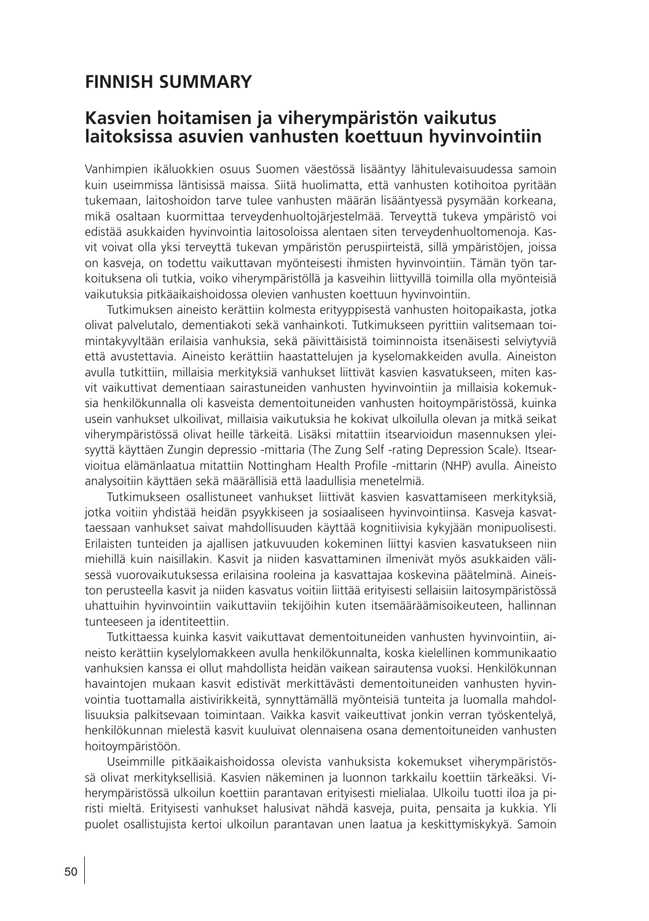## **FINNISH SUMMARY**

### **Kasvien hoitamisen ja viherympäristön vaikutus laitoksissa asuvien vanhusten koettuun hyvinvointiin**

Vanhimpien ikäluokkien osuus Suomen väestössä lisääntyy lähitulevaisuudessa samoin kuin useimmissa läntisissä maissa. Siitä huolimatta, että vanhusten kotihoitoa pyritään tukemaan, laitoshoidon tarve tulee vanhusten määrän lisääntyessä pysymään korkeana, mikä osaltaan kuormittaa terveydenhuoltojärjestelmää. Terveyttä tukeva ympäristö voi edistää asukkaiden hyvinvointia laitosoloissa alentaen siten terveydenhuoltomenoja. Kasvit voivat olla yksi terveyttä tukevan ympäristön peruspiirteistä, sillä ympäristöjen, joissa on kasveja, on todettu vaikuttavan myönteisesti ihmisten hyvinvointiin. Tämän työn tarkoituksena oli tutkia, voiko viherympäristöllä ja kasveihin liittyvillä toimilla olla myönteisiä vaikutuksia pitkäaikaishoidossa olevien vanhusten koettuun hyvinvointiin.

Tutkimuksen aineisto kerättiin kolmesta erityyppisestä vanhusten hoitopaikasta, jotka olivat palvelutalo, dementiakoti sekä vanhainkoti. Tutkimukseen pyrittiin valitsemaan toimintakyvyltään erilaisia vanhuksia, sekä päivittäisistä toiminnoista itsenäisesti selviytyviä että avustettavia. Aineisto kerättiin haastattelujen ja kyselomakkeiden avulla. Aineiston avulla tutkittiin, millaisia merkityksiä vanhukset liittivät kasvien kasvatukseen, miten kasvit vaikuttivat dementiaan sairastuneiden vanhusten hyvinvointiin ja millaisia kokemuksia henkilökunnalla oli kasveista dementoituneiden vanhusten hoitoympäristössä, kuinka usein vanhukset ulkoilivat, millaisia vaikutuksia he kokivat ulkoilulla olevan ja mitkä seikat viherympäristössä olivat heille tärkeitä. Lisäksi mitattiin itsearvioidun masennuksen yleisyyttä käyttäen Zungin depressio -mittaria (The Zung Self -rating Depression Scale). Itsearvioitua elämänlaatua mitattiin Nottingham Health Profile -mittarin (NHP) avulla. Aineisto analysoitiin käyttäen sekä määrällisiä että laadullisia menetelmiä.

Tutkimukseen osallistuneet vanhukset liittivät kasvien kasvattamiseen merkityksiä, jotka voitiin yhdistää heidän psyykkiseen ja sosiaaliseen hyvinvointiinsa. Kasveja kasvattaessaan vanhukset saivat mahdollisuuden käyttää kognitiivisia kykyjään monipuolisesti. Erilaisten tunteiden ja ajallisen jatkuvuuden kokeminen liittyi kasvien kasvatukseen niin miehillä kuin naisillakin. Kasvit ja niiden kasvattaminen ilmenivät myös asukkaiden välisessä vuorovaikutuksessa erilaisina rooleina ja kasvattajaa koskevina päätelminä. Aineiston perusteella kasvit ja niiden kasvatus voitiin liittää erityisesti sellaisiin laitosympäristössä uhattuihin hyvinvointiin vaikuttaviin tekijöihin kuten itsemääräämisoikeuteen, hallinnan tunteeseen ja identiteettiin.

Tutkittaessa kuinka kasvit vaikuttavat dementoituneiden vanhusten hyvinvointiin, aineisto kerättiin kyselylomakkeen avulla henkilökunnalta, koska kielellinen kommunikaatio vanhuksien kanssa ei ollut mahdollista heidän vaikean sairautensa vuoksi. Henkilökunnan havaintojen mukaan kasvit edistivät merkittävästi dementoituneiden vanhusten hyvinvointia tuottamalla aistivirikkeitä, synnyttämällä myönteisiä tunteita ja luomalla mahdollisuuksia palkitsevaan toimintaan. Vaikka kasvit vaikeuttivat jonkin verran työskentelyä, henkilökunnan mielestä kasvit kuuluivat olennaisena osana dementoituneiden vanhusten hoitoympäristöön.

Useimmille pitkäaikaishoidossa olevista vanhuksista kokemukset viherympäristössä olivat merkityksellisiä. Kasvien näkeminen ja luonnon tarkkailu koettiin tärkeäksi. Viherympäristössä ulkoilun koettiin parantavan erityisesti mielialaa. Ulkoilu tuotti iloa ja piristi mieltä. Erityisesti vanhukset halusivat nähdä kasveja, puita, pensaita ja kukkia. Yli puolet osallistujista kertoi ulkoilun parantavan unen laatua ja keskittymiskykyä. Samoin